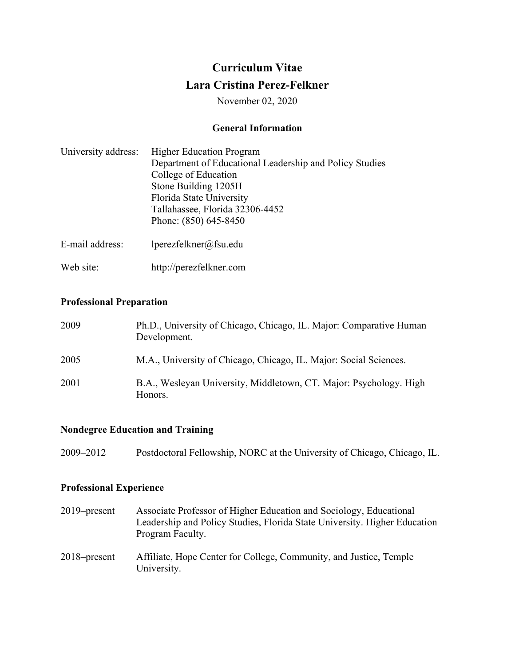# **Curriculum Vitae Lara Cristina Perez-Felkner**

November 02, 2020

# **General Information**

| University address: | <b>Higher Education Program</b><br>Department of Educational Leadership and Policy Studies<br>College of Education<br>Stone Building 1205H<br>Florida State University<br>Tallahassee, Florida 32306-4452<br>Phone: (850) 645-8450 |
|---------------------|------------------------------------------------------------------------------------------------------------------------------------------------------------------------------------------------------------------------------------|
| E-mail address:     | lperezfelkner@fsu.edu                                                                                                                                                                                                              |

Web site: [http://perezfelkner.com](http://perezfelkner.com/)

# **Professional Preparation**

| 2009 | Ph.D., University of Chicago, Chicago, IL. Major: Comparative Human<br>Development. |
|------|-------------------------------------------------------------------------------------|
| 2005 | M.A., University of Chicago, Chicago, IL. Major: Social Sciences.                   |
| 2001 | B.A., Wesleyan University, Middletown, CT. Major: Psychology. High<br>Honors.       |

# **Nondegree Education and Training**

| 2009–2012 | Postdoctoral Fellowship, NORC at the University of Chicago, Chicago, IL. |  |  |  |  |
|-----------|--------------------------------------------------------------------------|--|--|--|--|
|-----------|--------------------------------------------------------------------------|--|--|--|--|

# **Professional Experience**

| $2019$ -present | Associate Professor of Higher Education and Sociology, Educational<br>Leadership and Policy Studies, Florida State University. Higher Education<br>Program Faculty. |
|-----------------|---------------------------------------------------------------------------------------------------------------------------------------------------------------------|
| $2018$ -present | Affiliate, Hope Center for College, Community, and Justice, Temple<br>University.                                                                                   |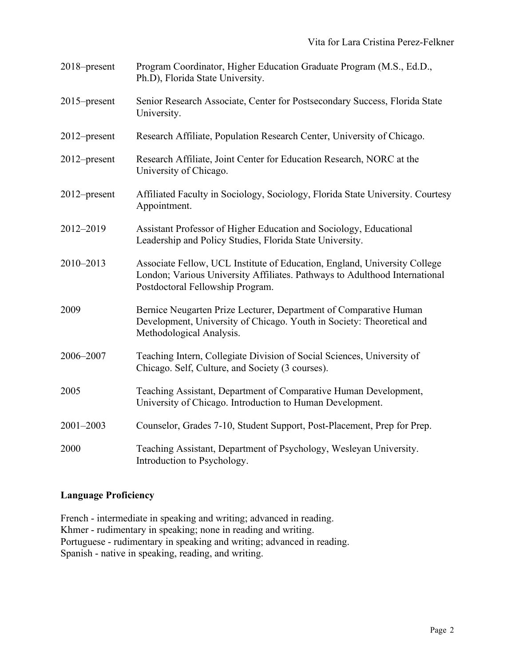| 2018–present    | Program Coordinator, Higher Education Graduate Program (M.S., Ed.D.,<br>Ph.D), Florida State University.                                                                                    |
|-----------------|---------------------------------------------------------------------------------------------------------------------------------------------------------------------------------------------|
| $2015$ -present | Senior Research Associate, Center for Postsecondary Success, Florida State<br>University.                                                                                                   |
| 2012–present    | Research Affiliate, Population Research Center, University of Chicago.                                                                                                                      |
| $2012$ -present | Research Affiliate, Joint Center for Education Research, NORC at the<br>University of Chicago.                                                                                              |
| 2012-present    | Affiliated Faculty in Sociology, Sociology, Florida State University. Courtesy<br>Appointment.                                                                                              |
| 2012-2019       | Assistant Professor of Higher Education and Sociology, Educational<br>Leadership and Policy Studies, Florida State University.                                                              |
| 2010-2013       | Associate Fellow, UCL Institute of Education, England, University College<br>London; Various University Affiliates. Pathways to Adulthood International<br>Postdoctoral Fellowship Program. |
| 2009            | Bernice Neugarten Prize Lecturer, Department of Comparative Human<br>Development, University of Chicago. Youth in Society: Theoretical and<br>Methodological Analysis.                      |
| 2006-2007       | Teaching Intern, Collegiate Division of Social Sciences, University of<br>Chicago. Self, Culture, and Society (3 courses).                                                                  |
| 2005            | Teaching Assistant, Department of Comparative Human Development,<br>University of Chicago. Introduction to Human Development.                                                               |
| 2001-2003       | Counselor, Grades 7-10, Student Support, Post-Placement, Prep for Prep.                                                                                                                     |
| 2000            | Teaching Assistant, Department of Psychology, Wesleyan University.<br>Introduction to Psychology.                                                                                           |

# **Language Proficiency**

French - intermediate in speaking and writing; advanced in reading. Khmer - rudimentary in speaking; none in reading and writing. Portuguese - rudimentary in speaking and writing; advanced in reading. Spanish - native in speaking, reading, and writing.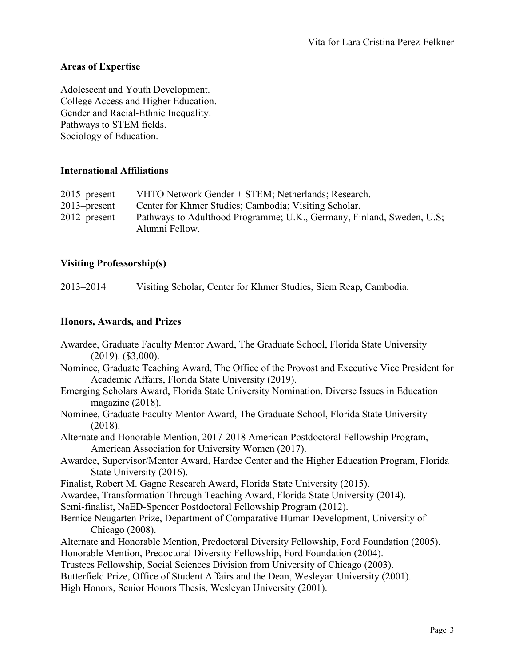# **Areas of Expertise**

Adolescent and Youth Development. College Access and Higher Education. Gender and Racial-Ethnic Inequality. Pathways to STEM fields. Sociology of Education.

# **International Affiliations**

| $2015$ -present | VHTO Network Gender + STEM; Netherlands; Research.                                      |
|-----------------|-----------------------------------------------------------------------------------------|
| $2013$ -present | Center for Khmer Studies; Cambodia; Visiting Scholar.                                   |
| $2012$ -present | Pathways to Adulthood Programme; U.K., Germany, Finland, Sweden, U.S.<br>Alumni Fellow. |

# **Visiting Professorship(s)**

# **Honors, Awards, and Prizes**

| Awardee, Graduate Faculty Mentor Award, The Graduate School, Florida State University                                                              |
|----------------------------------------------------------------------------------------------------------------------------------------------------|
| $(2019)$ . $($3,000)$ .                                                                                                                            |
| Nominee, Graduate Teaching Award, The Office of the Provost and Executive Vice President for<br>Academic Affairs, Florida State University (2019). |
| Emerging Scholars Award, Florida State University Nomination, Diverse Issues in Education<br>magazine $(2018)$ .                                   |
| Nominee, Graduate Faculty Mentor Award, The Graduate School, Florida State University<br>(2018).                                                   |
| Alternate and Honorable Mention, 2017-2018 American Postdoctoral Fellowship Program,<br>American Association for University Women (2017).          |
| Awardee, Supervisor/Mentor Award, Hardee Center and the Higher Education Program, Florida<br>State University (2016).                              |
| Finalist, Robert M. Gagne Research Award, Florida State University (2015).                                                                         |
| Awardee, Transformation Through Teaching Award, Florida State University (2014).                                                                   |
| Semi-finalist, NaED-Spencer Postdoctoral Fellowship Program (2012).                                                                                |
| Bernice Neugarten Prize, Department of Comparative Human Development, University of<br>Chicago $(2008)$ .                                          |
| Alternate and Honorable Mention, Predoctoral Diversity Fellowship, Ford Foundation (2005).                                                         |
| Honorable Mention, Predoctoral Diversity Fellowship, Ford Foundation (2004).                                                                       |
| Trustees Fellowship, Social Sciences Division from University of Chicago (2003).                                                                   |
| Butterfield Prize, Office of Student Affairs and the Dean, Wesleyan University (2001).                                                             |
| High Honors, Senior Honors Thesis, Wesleyan University (2001).                                                                                     |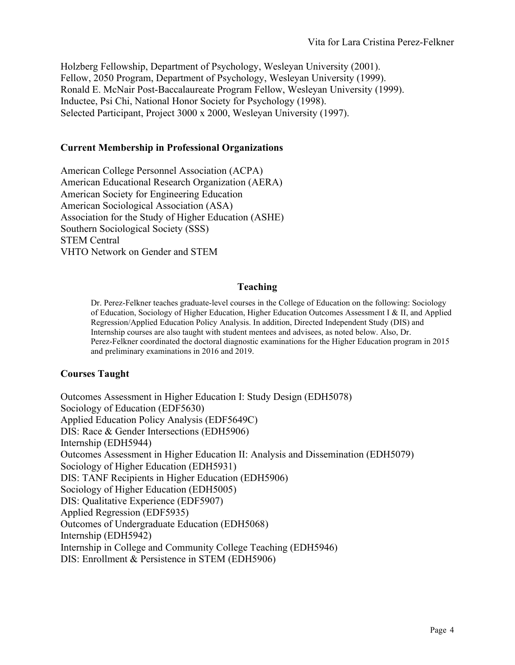Holzberg Fellowship, Department of Psychology, Wesleyan University (2001). Fellow, 2050 Program, Department of Psychology, Wesleyan University (1999). Ronald E. McNair Post-Baccalaureate Program Fellow, Wesleyan University (1999). Inductee, Psi Chi, National Honor Society for Psychology (1998). Selected Participant, Project 3000 x 2000, Wesleyan University (1997).

#### **Current Membership in Professional Organizations**

American College Personnel Association (ACPA) American Educational Research Organization (AERA) American Society for Engineering Education American Sociological Association (ASA) Association for the Study of Higher Education (ASHE) Southern Sociological Society (SSS) STEM Central VHTO Network on Gender and STEM

#### **Teaching**

Dr. Perez-Felkner teaches graduate-level courses in the College of Education on the following: Sociology of Education, Sociology of Higher Education, Higher Education Outcomes Assessment I & II, and Applied Regression/Applied Education Policy Analysis. In addition, Directed Independent Study (DIS) and Internship courses are also taught with student mentees and advisees, as noted below. Also, Dr. Perez-Felkner coordinated the doctoral diagnostic examinations for the Higher Education program in 2015 and preliminary examinations in 2016 and 2019.

# **Courses Taught**

Outcomes Assessment in Higher Education I: Study Design (EDH5078) Sociology of Education (EDF5630) Applied Education Policy Analysis (EDF5649C) DIS: Race & Gender Intersections (EDH5906) Internship (EDH5944) Outcomes Assessment in Higher Education II: Analysis and Dissemination (EDH5079) Sociology of Higher Education (EDH5931) DIS: TANF Recipients in Higher Education (EDH5906) Sociology of Higher Education (EDH5005) DIS: Qualitative Experience (EDF5907) Applied Regression (EDF5935) Outcomes of Undergraduate Education (EDH5068) Internship (EDH5942) Internship in College and Community College Teaching (EDH5946) DIS: Enrollment & Persistence in STEM (EDH5906)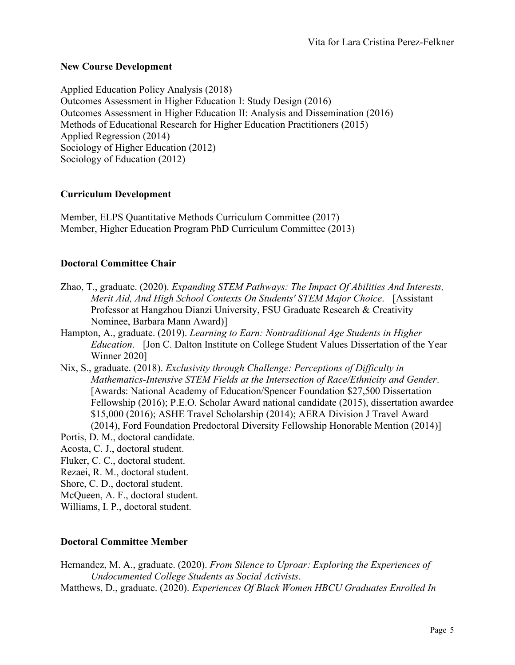#### **New Course Development**

Applied Education Policy Analysis (2018) Outcomes Assessment in Higher Education I: Study Design (2016) Outcomes Assessment in Higher Education II: Analysis and Dissemination (2016) Methods of Educational Research for Higher Education Practitioners (2015) Applied Regression (2014) Sociology of Higher Education (2012) Sociology of Education (2012)

### **Curriculum Development**

Member, ELPS Quantitative Methods Curriculum Committee (2017) Member, Higher Education Program PhD Curriculum Committee (2013)

### **Doctoral Committee Chair**

- Zhao, T., graduate. (2020). *Expanding STEM Pathways: The Impact Of Abilities And Interests, Merit Aid, And High School Contexts On Students' STEM Major Choice*. [Assistant Professor at Hangzhou Dianzi University, FSU Graduate Research & Creativity Nominee, Barbara Mann Award)]
- Hampton, A., graduate. (2019). *Learning to Earn: Nontraditional Age Students in Higher Education*. [Jon C. Dalton Institute on College Student Values Dissertation of the Year Winner 2020]
- Nix, S., graduate. (2018). *Exclusivity through Challenge: Perceptions of Difficulty in Mathematics-Intensive STEM Fields at the Intersection of Race/Ethnicity and Gender*. [Awards: National Academy of Education/Spencer Foundation \$27,500 Dissertation Fellowship (2016); P.E.O. Scholar Award national candidate (2015), dissertation awardee \$15,000 (2016); ASHE Travel Scholarship (2014); AERA Division J Travel Award (2014), Ford Foundation Predoctoral Diversity Fellowship Honorable Mention (2014)]
- Portis, D. M., doctoral candidate.
- Acosta, C. J., doctoral student.
- Fluker, C. C., doctoral student.
- Rezaei, R. M., doctoral student.
- Shore, C. D., doctoral student.
- McQueen, A. F., doctoral student.

Williams, I. P., doctoral student.

#### **Doctoral Committee Member**

Hernandez, M. A., graduate. (2020). *From Silence to Uproar: Exploring the Experiences of Undocumented College Students as Social Activists*.

Matthews, D., graduate. (2020). *Experiences Of Black Women HBCU Graduates Enrolled In*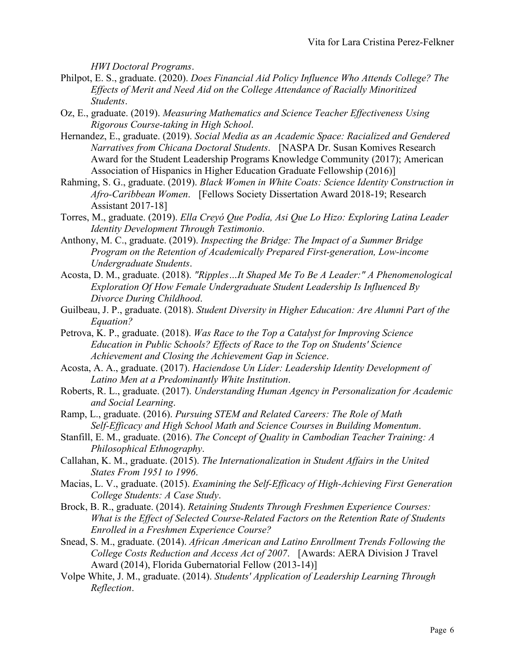*HWI Doctoral Programs*.

- Philpot, E. S., graduate. (2020). *Does Financial Aid Policy Influence Who Attends College? The Effects of Merit and Need Aid on the College Attendance of Racially Minoritized Students*.
- Oz, E., graduate. (2019). *Measuring Mathematics and Science Teacher Effectiveness Using Rigorous Course-taking in High School*.
- Hernandez, E., graduate. (2019). *Social Media as an Academic Space: Racialized and Gendered Narratives from Chicana Doctoral Students*. [NASPA Dr. Susan Komives Research Award for the Student Leadership Programs Knowledge Community (2017); American Association of Hispanics in Higher Education Graduate Fellowship (2016)]
- Rahming, S. G., graduate. (2019). *Black Women in White Coats: Science Identity Construction in Afro-Caribbean Women*. [Fellows Society Dissertation Award 2018-19; Research Assistant 2017-18]
- Torres, M., graduate. (2019). *Ella Creyó Que Podía, Asi Que Lo Hizo: Exploring Latina Leader Identity Development Through Testimonio*.
- Anthony, M. C., graduate. (2019). *Inspecting the Bridge: The Impact of a Summer Bridge Program on the Retention of Academically Prepared First-generation, Low-income Undergraduate Students*.
- Acosta, D. M., graduate. (2018). *"Ripples…It Shaped Me To Be A Leader:" A Phenomenological Exploration Of How Female Undergraduate Student Leadership Is Influenced By Divorce During Childhood*.
- Guilbeau, J. P., graduate. (2018). *Student Diversity in Higher Education: Are Alumni Part of the Equation?*
- Petrova, K. P., graduate. (2018). *Was Race to the Top a Catalyst for Improving Science Education in Public Schools? Effects of Race to the Top on Students' Science Achievement and Closing the Achievement Gap in Science*.
- Acosta, A. A., graduate. (2017). *Haciendose Un Líder: Leadership Identity Development of Latino Men at a Predominantly White Institution*.
- Roberts, R. L., graduate. (2017). *Understanding Human Agency in Personalization for Academic and Social Learning*.
- Ramp, L., graduate. (2016). *Pursuing STEM and Related Careers: The Role of Math Self-Efficacy and High School Math and Science Courses in Building Momentum*.
- Stanfill, E. M., graduate. (2016). *The Concept of Quality in Cambodian Teacher Training: A Philosophical Ethnography*.
- Callahan, K. M., graduate. (2015). *The Internationalization in Student Affairs in the United States From 1951 to 1996*.
- Macias, L. V., graduate. (2015). *Examining the Self-Efficacy of High-Achieving First Generation College Students: A Case Study*.
- Brock, B. R., graduate. (2014). *Retaining Students Through Freshmen Experience Courses: What is the Effect of Selected Course-Related Factors on the Retention Rate of Students Enrolled in a Freshmen Experience Course?*
- Snead, S. M., graduate. (2014). *African American and Latino Enrollment Trends Following the College Costs Reduction and Access Act of 2007*. [Awards: AERA Division J Travel Award (2014), Florida Gubernatorial Fellow (2013-14)]
- Volpe White, J. M., graduate. (2014). *Students' Application of Leadership Learning Through Reflection*.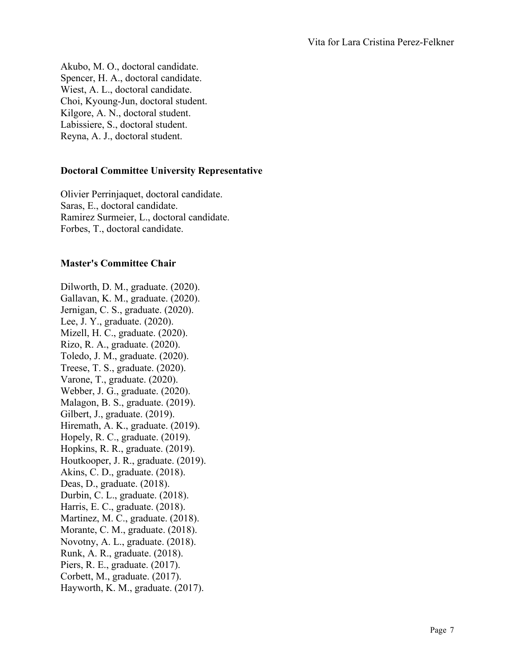Akubo, M. O., doctoral candidate. Spencer, H. A., doctoral candidate. Wiest, A. L., doctoral candidate. Choi, Kyoung-Jun, doctoral student. Kilgore, A. N., doctoral student. Labissiere, S., doctoral student. Reyna, A. J., doctoral student.

# **Doctoral Committee University Representative**

Olivier Perrinjaquet, doctoral candidate. Saras, E., doctoral candidate. Ramirez Surmeier, L., doctoral candidate. Forbes, T., doctoral candidate.

### **Master's Committee Chair**

Dilworth, D. M., graduate. (2020). Gallavan, K. M., graduate. (2020). Jernigan, C. S., graduate. (2020). Lee, J. Y., graduate. (2020). Mizell, H. C., graduate. (2020). Rizo, R. A., graduate. (2020). Toledo, J. M., graduate. (2020). Treese, T. S., graduate. (2020). Varone, T., graduate. (2020). Webber, J. G., graduate. (2020). Malagon, B. S., graduate. (2019). Gilbert, J., graduate. (2019). Hiremath, A. K., graduate. (2019). Hopely, R. C., graduate. (2019). Hopkins, R. R., graduate. (2019). Houtkooper, J. R., graduate. (2019). Akins, C. D., graduate. (2018). Deas, D., graduate. (2018). Durbin, C. L., graduate. (2018). Harris, E. C., graduate. (2018). Martinez, M. C., graduate. (2018). Morante, C. M., graduate. (2018). Novotny, A. L., graduate. (2018). Runk, A. R., graduate. (2018). Piers, R. E., graduate. (2017). Corbett, M., graduate. (2017). Hayworth, K. M., graduate. (2017).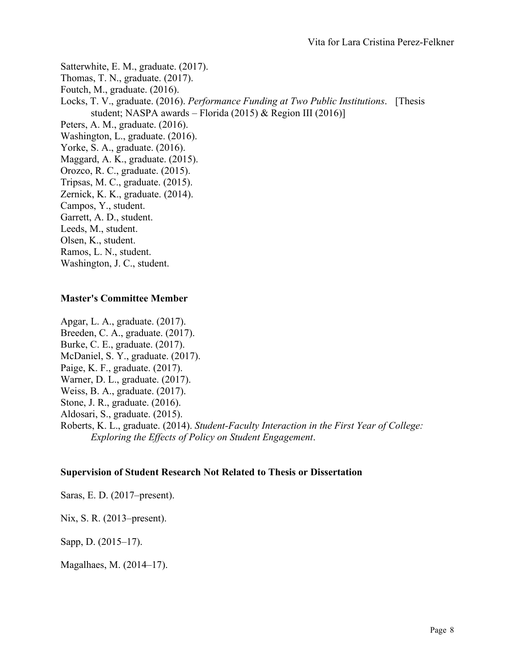Satterwhite, E. M., graduate. (2017). Thomas, T. N., graduate. (2017). Foutch, M., graduate. (2016). Locks, T. V., graduate. (2016). *Performance Funding at Two Public Institutions*. [Thesis student; NASPA awards – Florida (2015) & Region III (2016)] Peters, A. M., graduate. (2016). Washington, L., graduate. (2016). Yorke, S. A., graduate. (2016). Maggard, A. K., graduate. (2015). Orozco, R. C., graduate. (2015). Tripsas, M. C., graduate. (2015). Zernick, K. K., graduate. (2014). Campos, Y., student. Garrett, A. D., student. Leeds, M., student. Olsen, K., student. Ramos, L. N., student. Washington, J. C., student.

### **Master's Committee Member**

Apgar, L. A., graduate. (2017). Breeden, C. A., graduate. (2017). Burke, C. E., graduate. (2017). McDaniel, S. Y., graduate. (2017). Paige, K. F., graduate. (2017). Warner, D. L., graduate. (2017). Weiss, B. A., graduate. (2017). Stone, J. R., graduate. (2016). Aldosari, S., graduate. (2015). Roberts, K. L., graduate. (2014). *Student-Faculty Interaction in the First Year of College: Exploring the Effects of Policy on Student Engagement*.

#### **Supervision of Student Research Not Related to Thesis or Dissertation**

Saras, E. D. (2017–present).

Nix, S. R. (2013–present).

Sapp, D. (2015–17).

Magalhaes, M. (2014–17).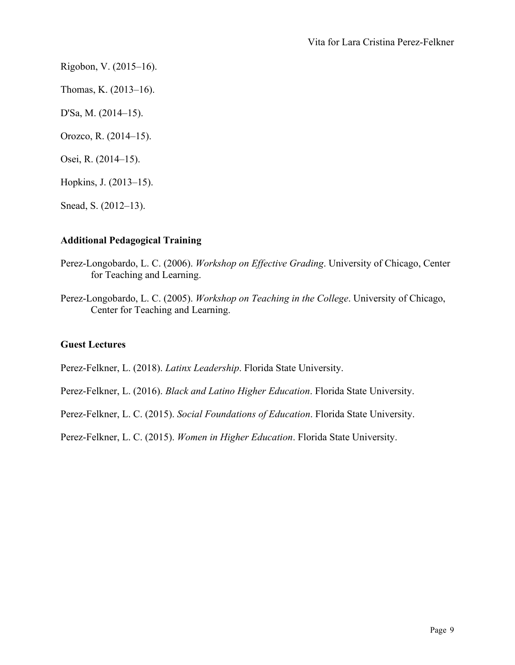Rigobon, V. (2015–16).

Thomas, K. (2013–16).

D'Sa, M. (2014–15).

Orozco, R. (2014–15).

Osei, R. (2014–15).

Hopkins, J. (2013–15).

Snead, S. (2012–13).

### **Additional Pedagogical Training**

- Perez-Longobardo, L. C. (2006). *Workshop on Effective Grading*. University of Chicago, Center for Teaching and Learning.
- Perez-Longobardo, L. C. (2005). *Workshop on Teaching in the College*. University of Chicago, Center for Teaching and Learning.

#### **Guest Lectures**

Perez-Felkner, L. (2018). *Latinx Leadership*. Florida State University.

Perez-Felkner, L. (2016). *Black and Latino Higher Education*. Florida State University.

Perez-Felkner, L. C. (2015). *Social Foundations of Education*. Florida State University.

Perez-Felkner, L. C. (2015). *Women in Higher Education*. Florida State University.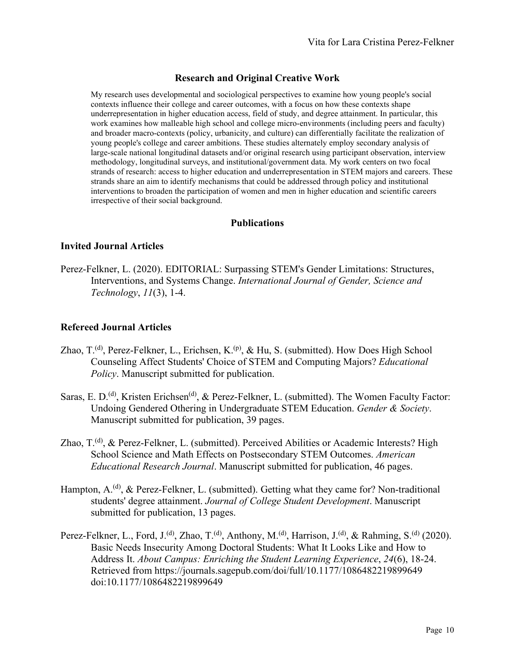# **Research and Original Creative Work**

My research uses developmental and sociological perspectives to examine how young people's social contexts influence their college and career outcomes, with a focus on how these contexts shape underrepresentation in higher education access, field of study, and degree attainment. In particular, this work examines how malleable high school and college micro-environments (including peers and faculty) and broader macro-contexts (policy, urbanicity, and culture) can differentially facilitate the realization of young people's college and career ambitions. These studies alternately employ secondary analysis of large-scale national longitudinal datasets and/or original research using participant observation, interview methodology, longitudinal surveys, and institutional/government data. My work centers on two focal strands of research: access to higher education and underrepresentation in STEM majors and careers. These strands share an aim to identify mechanisms that could be addressed through policy and institutional interventions to broaden the participation of women and men in higher education and scientific careers irrespective of their social background.

#### **Publications**

#### **Invited Journal Articles**

Perez-Felkner, L. (2020). EDITORIAL: Surpassing STEM's Gender Limitations: Structures, Interventions, and Systems Change. *International Journal of Gender, Science and Technology*, *11*(3), 1-4.

#### **Refereed Journal Articles**

- Zhao, T.<sup>(d)</sup>, Perez-Felkner, L., Erichsen, K.<sup>(p)</sup>, & Hu, S. (submitted). How Does High School Counseling Affect Students' Choice of STEM and Computing Majors? *Educational Policy*. Manuscript submitted for publication.
- Saras, E. D.<sup>(d)</sup>, Kristen Erichsen<sup>(d)</sup>, & Perez-Felkner, L. (submitted). The Women Faculty Factor: Undoing Gendered Othering in Undergraduate STEM Education. *Gender & Society*. Manuscript submitted for publication, 39 pages.
- Zhao,  $T^{(d)}$ , & Perez-Felkner, L. (submitted). Perceived Abilities or Academic Interests? High School Science and Math Effects on Postsecondary STEM Outcomes. *American Educational Research Journal*. Manuscript submitted for publication, 46 pages.
- Hampton,  $A^{(d)}$ , & Perez-Felkner, L. (submitted). Getting what they came for? Non-traditional students' degree attainment. *Journal of College Student Development*. Manuscript submitted for publication, 13 pages.
- Perez-Felkner, L., Ford, J.<sup>(d)</sup>, Zhao, T.<sup>(d)</sup>, Anthony, M.<sup>(d)</sup>, Harrison, J.<sup>(d)</sup>, & Rahming, S.<sup>(d)</sup> (2020). Basic Needs Insecurity Among Doctoral Students: What It Looks Like and How to Address It. *About Campus: Enriching the Student Learning Experience*, *24*(6), 18-24. Retrieved from<https://journals.sagepub.com/doi/full/10.1177/1086482219899649> doi[:10.1177/1086482219899649](http://dx.doi.org/10.1177/1086482219899649)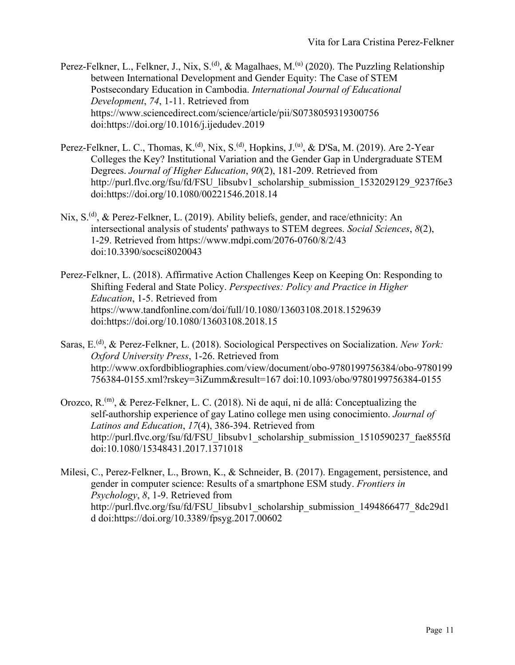Perez-Felkner, L., Felkner, J., Nix, S.<sup>(d)</sup>, & Magalhaes, M.<sup>(u)</sup> (2020). The Puzzling Relationship between International Development and Gender Equity: The Case of STEM Postsecondary Education in Cambodia. *International Journal of Educational Development*, *74*, 1-11. Retrieved from <https://www.sciencedirect.com/science/article/pii/S0738059319300756> doi:https://doi.org/10.1016/j.ijedudev.2019

- Perez-Felkner, L. C., Thomas, K.<sup>(d)</sup>, Nix, S.<sup>(d)</sup>, Hopkins, J.<sup>(u)</sup>, & D'Sa, M. (2019). Are 2-Year Colleges the Key? Institutional Variation and the Gender Gap in Undergraduate STEM Degrees. *Journal of Higher Education*, *90*(2), 181-209. Retrieved from [http://purl.flvc.org/fsu/fd/FSU\\_libsubv1\\_scholarship\\_submission\\_1532029129\\_9237f6e3](http://purl.flvc.org/fsu/fd/FSU_libsubv1_scholarship_submission_1532029129_9237f6e3) doi:https://doi.org/10.1080/00221546.2018.14
- Nix, S.<sup>(d)</sup>, & Perez-Felkner, L. (2019). Ability beliefs, gender, and race/ethnicity: An intersectional analysis of students' pathways to STEM degrees. *Social Sciences*, *8*(2), 1-29. Retrieved from<https://www.mdpi.com/2076-0760/8/2/43> doi[:10.3390/socsci8020043](http://dx.doi.org/10.3390/socsci8020043)
- Perez-Felkner, L. (2018). Affirmative Action Challenges Keep on Keeping On: Responding to Shifting Federal and State Policy. *Perspectives: Policy and Practice in Higher Education*, 1-5. Retrieved from <https://www.tandfonline.com/doi/full/10.1080/13603108.2018.1529639> doi:https://doi.org/10.1080/13603108.2018.15
- Saras, E.(d), & Perez-Felkner, L. (2018). Sociological Perspectives on Socialization. *New York: Oxford University Press*, 1-26. Retrieved from [http://www.oxfordbibliographies.com/view/document/obo-9780199756384/obo-9780199](http://www.oxfordbibliographies.com/view/document/obo-9780199756384/obo-9780199756384-0155.xml?rskey=3iZumm&result=167) [756384-0155.xml?rskey=3iZumm&result=167](http://www.oxfordbibliographies.com/view/document/obo-9780199756384/obo-9780199756384-0155.xml?rskey=3iZumm&result=167) doi[:10.1093/obo/9780199756384-0155](http://dx.doi.org/10.1093/obo/9780199756384-0155)
- Orozco, R.<sup>(m)</sup>, & Perez-Felkner, L. C. (2018). Ni de aquí, ni de allá: Conceptualizing the self-authorship experience of gay Latino college men using conocimiento. *Journal of Latinos and Education*, *17*(4), 386-394. Retrieved from [http://purl.flvc.org/fsu/fd/FSU\\_libsubv1\\_scholarship\\_submission\\_1510590237\\_fae855fd](http://purl.flvc.org/fsu/fd/FSU_libsubv1_scholarship_submission_1510590237_fae855fd) doi[:10.1080/15348431.2017.1371018](http://dx.doi.org/10.1080/15348431.2017.1371018)
- Milesi, C., Perez-Felkner, L., Brown, K., & Schneider, B. (2017). Engagement, persistence, and gender in computer science: Results of a smartphone ESM study. *Frontiers in Psychology*, *8*, 1-9. Retrieved from [http://purl.flvc.org/fsu/fd/FSU\\_libsubv1\\_scholarship\\_submission\\_1494866477\\_8dc29d1](http://purl.flvc.org/fsu/fd/FSU_libsubv1_scholarship_submission_1494866477_8dc29d1d)\_ [d](http://purl.flvc.org/fsu/fd/FSU_libsubv1_scholarship_submission_1494866477_8dc29d1d) doi:https://doi.org/10.3389/fpsyg.2017.00602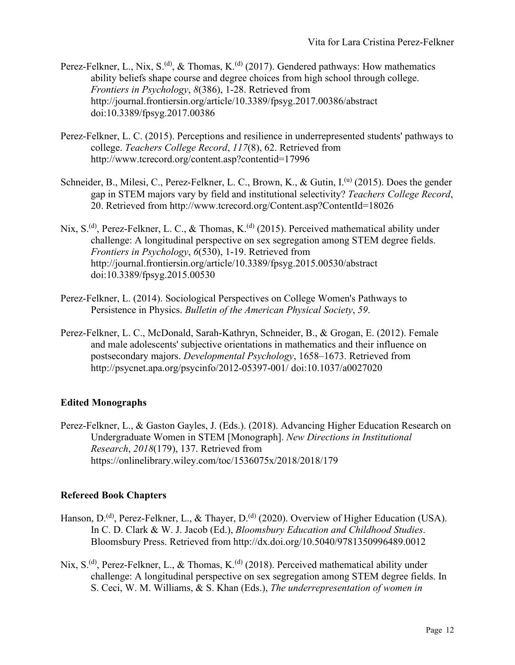- Perez-Felkner, L., Nix, S.<sup>(d)</sup>, & Thomas, K.<sup>(d)</sup> (2017). Gendered pathways: How mathematics ability beliefs shape course and degree choices from high school through college. *Frontiers in Psychology*, *8*(386), 1-28. Retrieved from <http://journal.frontiersin.org/article/10.3389/fpsyg.2017.00386/abstract> doi[:10.3389/fpsyg.2017.00386](http://dx.doi.org/10.3389/fpsyg.2017.00386)
- Perez-Felkner, L. C. (2015). Perceptions and resilience in underrepresented students' pathways to college. *Teachers College Record*, *117*(8), 62. Retrieved from <http://www.tcrecord.org/content.asp?contentid=17996>
- Schneider, B., Milesi, C., Perez-Felkner, L. C., Brown, K., & Gutin, I.<sup>(u)</sup> (2015). Does the gender gap in STEM majors vary by field and institutional selectivity? *Teachers College Record*, 20. Retrieved from<http://www.tcrecord.org/Content.asp?ContentId=18026>
- Nix, S.<sup>(d)</sup>, Perez-Felkner, L. C., & Thomas, K.<sup>(d)</sup> (2015). Perceived mathematical ability under challenge: A longitudinal perspective on sex segregation among STEM degree fields. *Frontiers in Psychology*, *6*(530), 1-19. Retrieved from <http://journal.frontiersin.org/article/10.3389/fpsyg.2015.00530/abstract> doi[:10.3389/fpsyg.2015.00530](http://dx.doi.org/10.3389/fpsyg.2015.00530)
- Perez-Felkner, L. (2014). Sociological Perspectives on College Women's Pathways to Persistence in Physics. *Bulletin of the American Physical Society*, *59*.
- Perez-Felkner, L. C., McDonald, Sarah-Kathryn, Schneider, B., & Grogan, E. (2012). Female and male adolescents' subjective orientations in mathematics and their influence on postsecondary majors. *Developmental Psychology*, 1658–1673. Retrieved from <http://psycnet.apa.org/psycinfo/2012-05397-001/> doi[:10.1037/a0027020](http://dx.doi.org/10.1037/a0027020)

# **Edited Monographs**

Perez-Felkner, L., & Gaston Gayles, J. (Eds.). (2018). Advancing Higher Education Research on Undergraduate Women in STEM [Monograph]. *New Directions in Institutional Research*, *2018*(179), 137. Retrieved from <https://onlinelibrary.wiley.com/toc/1536075x/2018/2018/179>

# **Refereed Book Chapters**

- Hanson, D.<sup>(d)</sup>, Perez-Felkner, L., & Thayer, D.<sup>(d)</sup> (2020). Overview of Higher Education (USA). In C. D. Clark & W. J. Jacob (Ed.), *Bloomsbury Education and Childhood Studies*. Bloomsbury Press. Retrieved from<http://dx.doi.org/10.5040/9781350996489.0012>
- Nix, S.<sup>(d)</sup>, Perez-Felkner, L., & Thomas, K.<sup>(d)</sup> (2018). Perceived mathematical ability under challenge: A longitudinal perspective on sex segregation among STEM degree fields. In S. Ceci, W. M. Williams, & S. Khan (Eds.), *The underrepresentation of women in*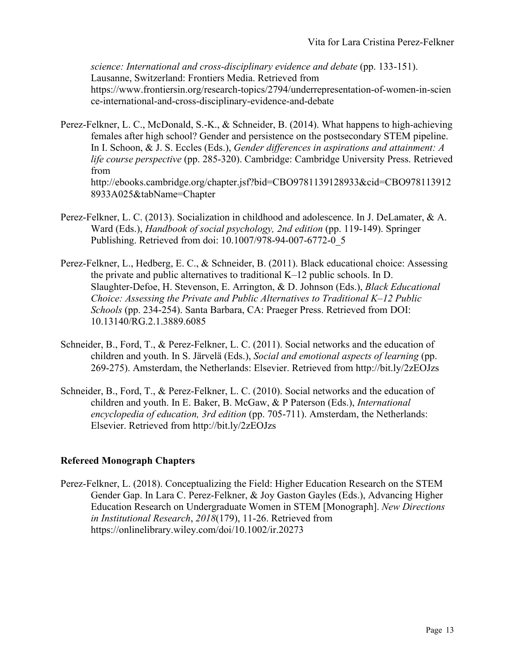*science: International and cross-disciplinary evidence and debate* (pp. 133-151). Lausanne, Switzerland: Frontiers Media. Retrieved from [https://www.frontiersin.org/research-topics/2794/underrepresentation-of-women-in-scien](https://www.frontiersin.org/research-topics/2794/underrepresentation-of-women-in-science-international-and-cross-disciplinary-evidence-and-debate) [ce-international-and-cross-disciplinary-evidence-and-debate](https://www.frontiersin.org/research-topics/2794/underrepresentation-of-women-in-science-international-and-cross-disciplinary-evidence-and-debate)

- Perez-Felkner, L. C., McDonald, S.-K., & Schneider, B. (2014). What happens to high-achieving females after high school? Gender and persistence on the postsecondary STEM pipeline. In I. Schoon, & J. S. Eccles (Eds.), *Gender differences in aspirations and attainment: A life course perspective* (pp. 285-320). Cambridge: Cambridge University Press. Retrieved from [http://ebooks.cambridge.org/chapter.jsf?bid=CBO9781139128933&cid=CBO978113912](http://ebooks.cambridge.org/chapter.jsf?bid=CBO9781139128933&cid=CBO9781139128933A025&tabName=Chapter) [8933A025&tabName=Chapter](http://ebooks.cambridge.org/chapter.jsf?bid=CBO9781139128933&cid=CBO9781139128933A025&tabName=Chapter)
- Perez-Felkner, L. C. (2013). Socialization in childhood and adolescence. In J. DeLamater, & A. Ward (Eds.), *Handbook of social psychology, 2nd edition* (pp. 119-149). Springer Publishing. Retrieved from doi: 10.1007/978-94-007-6772-0\_5
- Perez-Felkner, L., Hedberg, E. C., & Schneider, B. (2011). Black educational choice: Assessing the private and public alternatives to traditional K–12 public schools. In D. Slaughter-Defoe, H. Stevenson, E. Arrington, & D. Johnson (Eds.), *Black Educational Choice: Assessing the Private and Public Alternatives to Traditional K–12 Public Schools* (pp. 234-254). Santa Barbara, CA: Praeger Press. Retrieved from DOI: 10.13140/RG.2.1.3889.6085
- Schneider, B., Ford, T., & Perez-Felkner, L. C. (2011). Social networks and the education of children and youth. In S. Järvelä (Eds.), *Social and emotional aspects of learning* (pp. 269-275). Amsterdam, the Netherlands: Elsevier. Retrieved from<http://bit.ly/2zEOJzs>
- Schneider, B., Ford, T., & Perez-Felkner, L. C. (2010). Social networks and the education of children and youth. In E. Baker, B. McGaw, & P Paterson (Eds.), *International encyclopedia of education, 3rd edition* (pp. 705-711). Amsterdam, the Netherlands: Elsevier. Retrieved from<http://bit.ly/2zEOJzs>

# **Refereed Monograph Chapters**

Perez-Felkner, L. (2018). Conceptualizing the Field: Higher Education Research on the STEM Gender Gap. In Lara C. Perez-Felkner, & Joy Gaston Gayles (Eds.), Advancing Higher Education Research on Undergraduate Women in STEM [Monograph]. *New Directions in Institutional Research*, *2018*(179), 11-26. Retrieved from <https://onlinelibrary.wiley.com/doi/10.1002/ir.20273>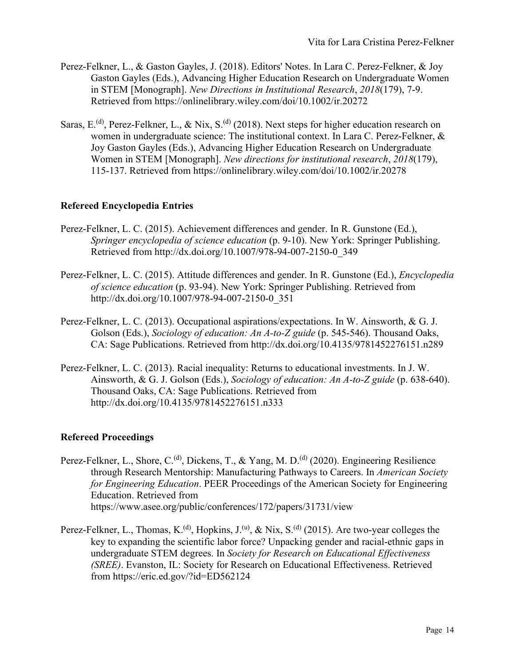- Perez-Felkner, L., & Gaston Gayles, J. (2018). Editors' Notes. In Lara C. Perez-Felkner, & Joy Gaston Gayles (Eds.), Advancing Higher Education Research on Undergraduate Women in STEM [Monograph]. *New Directions in Institutional Research*, *2018*(179), 7-9. Retrieved from<https://onlinelibrary.wiley.com/doi/10.1002/ir.20272>
- Saras, E.<sup>(d)</sup>, Perez-Felkner, L., & Nix, S.<sup>(d)</sup> (2018). Next steps for higher education research on women in undergraduate science: The institutional context. In Lara C. Perez-Felkner, & Joy Gaston Gayles (Eds.), Advancing Higher Education Research on Undergraduate Women in STEM [Monograph]. *New directions for institutional research*, *2018*(179), 115-137. Retrieved from<https://onlinelibrary.wiley.com/doi/10.1002/ir.20278>

#### **Refereed Encyclopedia Entries**

- Perez-Felkner, L. C. (2015). Achievement differences and gender. In R. Gunstone (Ed.), *Springer encyclopedia of science education* (p. 9-10). New York: Springer Publishing. Retrieved from [http://dx.doi.org/10.1007/978-94-007-2150-0\\_349](http://dx.doi.org/10.1007/978-94-007-2150-0_349)
- Perez-Felkner, L. C. (2015). Attitude differences and gender. In R. Gunstone (Ed.), *Encyclopedia of science education* (p. 93-94). New York: Springer Publishing. Retrieved from [http://dx.doi.org/10.1007/978-94-007-2150-0\\_351](http://dx.doi.org/10.1007/978-94-007-2150-0_351)
- Perez-Felkner, L. C. (2013). Occupational aspirations/expectations. In W. Ainsworth, & G. J. Golson (Eds.), *Sociology of education: An A-to-Z guide* (p. 545-546). Thousand Oaks, CA: Sage Publications. Retrieved from<http://dx.doi.org/10.4135/9781452276151.n289>
- Perez-Felkner, L. C. (2013). Racial inequality: Returns to educational investments. In J. W. Ainsworth, & G. J. Golson (Eds.), *Sociology of education: An A-to-Z guide* (p. 638-640). Thousand Oaks, CA: Sage Publications. Retrieved from <http://dx.doi.org/10.4135/9781452276151.n333>

#### **Refereed Proceedings**

- Perez-Felkner, L., Shore, C.<sup>(d)</sup>, Dickens, T., & Yang, M. D.<sup>(d)</sup> (2020). Engineering Resilience through Research Mentorship: Manufacturing Pathways to Careers. In *American Society for Engineering Education*. PEER Proceedings of the American Society for Engineering Education. Retrieved from <https://www.asee.org/public/conferences/172/papers/31731/view>
- Perez-Felkner, L., Thomas, K.<sup>(d)</sup>, Hopkins, J.<sup>(u)</sup>, & Nix, S.<sup>(d)</sup> (2015). Are two-year colleges the key to expanding the scientific labor force? Unpacking gender and racial-ethnic gaps in undergraduate STEM degrees. In *Society for Research on Educational Effectiveness (SREE)*. Evanston, IL: Society for Research on Educational Effectiveness. Retrieved from<https://eric.ed.gov/?id=ED562124>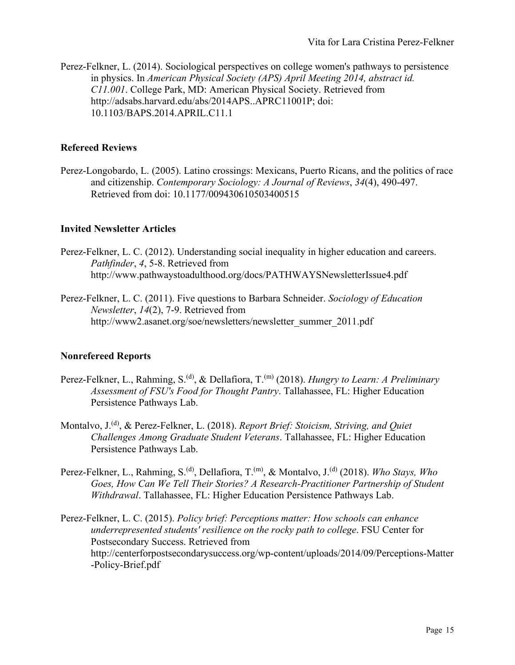Perez-Felkner, L. (2014). Sociological perspectives on college women's pathways to persistence in physics. In *American Physical Society (APS) April Meeting 2014, abstract id. C11.001*. College Park, MD: American Physical Society. Retrieved from [http://adsabs.harvard.edu/abs/2014APS..APRC11001P; doi:](http://adsabs.harvard.edu/abs/2014APS..APRC11001P;%20doi:%2010.1103/BAPS.2014.APRIL.C11.1)  [10.1103/BAPS.2014.APRIL.C11.1](http://adsabs.harvard.edu/abs/2014APS..APRC11001P;%20doi:%2010.1103/BAPS.2014.APRIL.C11.1)

# **Refereed Reviews**

Perez-Longobardo, L. (2005). Latino crossings: Mexicans, Puerto Ricans, and the politics of race and citizenship. *Contemporary Sociology: A Journal of Reviews*, *34*(4), 490-497. Retrieved from doi: 10.1177/009430610503400515

### **Invited Newsletter Articles**

- Perez-Felkner, L. C. (2012). Understanding social inequality in higher education and careers. *Pathfinder*, *4*, 5-8. Retrieved from <http://www.pathwaystoadulthood.org/docs/PATHWAYSNewsletterIssue4.pdf>
- Perez-Felkner, L. C. (2011). Five questions to Barbara Schneider. *Sociology of Education Newsletter*, *14*(2), 7-9. Retrieved from [http://www2.asanet.org/soe/newsletters/newsletter\\_summer\\_2011.pdf](http://www2.asanet.org/soe/newsletters/newsletter_summer_2011.pdf)

# **Nonrefereed Reports**

- Perez-Felkner, L., Rahming, S.(d), & Dellafiora, T.(m) (2018). *Hungry to Learn: A Preliminary Assessment of FSU's Food for Thought Pantry*. Tallahassee, FL: Higher Education Persistence Pathways Lab.
- Montalvo, J.<sup>(d)</sup>, & Perez-Felkner, L. (2018). *Report Brief: Stoicism, Striving, and Quiet Challenges Among Graduate Student Veterans*. Tallahassee, FL: Higher Education Persistence Pathways Lab.
- Perez-Felkner, L., Rahming, S.<sup>(d)</sup>, Dellafiora, T.<sup>(m)</sup>, & Montalvo, J.<sup>(d)</sup> (2018). *Who Stays, Who Goes, How Can We Tell Their Stories? A Research-Practitioner Partnership of Student Withdrawal*. Tallahassee, FL: Higher Education Persistence Pathways Lab.
- Perez-Felkner, L. C. (2015). *Policy brief: Perceptions matter: How schools can enhance underrepresented students' resilience on the rocky path to college*. FSU Center for Postsecondary Success. Retrieved from [http://centerforpostsecondarysuccess.org/wp-content/uploads/2014/09/Perceptions-Matter](http://centerforpostsecondarysuccess.org/wp-content/uploads/2014/09/Perceptions-Matter-Policy-Brief.pdf) [-Policy-Brief.pdf](http://centerforpostsecondarysuccess.org/wp-content/uploads/2014/09/Perceptions-Matter-Policy-Brief.pdf)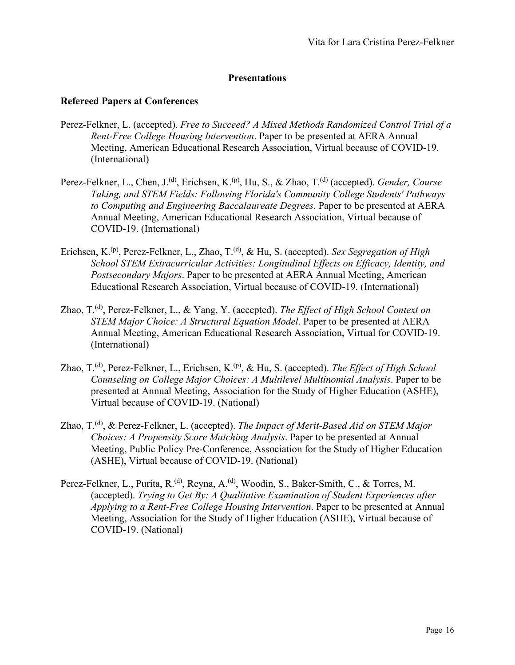# **Presentations**

#### **Refereed Papers at Conferences**

- Perez-Felkner, L. (accepted). *Free to Succeed? A Mixed Methods Randomized Control Trial of a Rent-Free College Housing Intervention*. Paper to be presented at AERA Annual Meeting, American Educational Research Association, Virtual because of COVID-19. (International)
- Perez-Felkner, L., Chen, J.<sup>(d)</sup>, Erichsen, K.<sup>(p)</sup>, Hu, S., & Zhao, T.<sup>(d)</sup> (accepted). *Gender, Course Taking, and STEM Fields: Following Florida's Community College Students' Pathways to Computing and Engineering Baccalaureate Degrees*. Paper to be presented at AERA Annual Meeting, American Educational Research Association, Virtual because of COVID-19. (International)
- Erichsen, K.<sup>(p)</sup>, Perez-Felkner, L., Zhao, T.<sup>(d)</sup>, & Hu, S. (accepted). *Sex Segregation of High School STEM Extracurricular Activities: Longitudinal Effects on Efficacy, Identity, and Postsecondary Majors*. Paper to be presented at AERA Annual Meeting, American Educational Research Association, Virtual because of COVID-19. (International)
- Zhao, T.(d), Perez-Felkner, L., & Yang, Y. (accepted). *The Effect of High School Context on STEM Major Choice: A Structural Equation Model*. Paper to be presented at AERA Annual Meeting, American Educational Research Association, Virtual for COVID-19. (International)
- Zhao, T.<sup>(d)</sup>, Perez-Felkner, L., Erichsen, K.<sup>(p)</sup>, & Hu, S. (accepted). *The Effect of High School Counseling on College Major Choices: A Multilevel Multinomial Analysis*. Paper to be presented at Annual Meeting, Association for the Study of Higher Education (ASHE), Virtual because of COVID-19. (National)
- Zhao, T.(d), & Perez-Felkner, L. (accepted). *The Impact of Merit-Based Aid on STEM Major Choices: A Propensity Score Matching Analysis*. Paper to be presented at Annual Meeting, Public Policy Pre-Conference, Association for the Study of Higher Education (ASHE), Virtual because of COVID-19. (National)
- Perez-Felkner, L., Purita, R.<sup>(d)</sup>, Reyna, A.<sup>(d)</sup>, Woodin, S., Baker-Smith, C., & Torres, M. (accepted). *Trying to Get By: A Qualitative Examination of Student Experiences after Applying to a Rent-Free College Housing Intervention*. Paper to be presented at Annual Meeting, Association for the Study of Higher Education (ASHE), Virtual because of COVID-19. (National)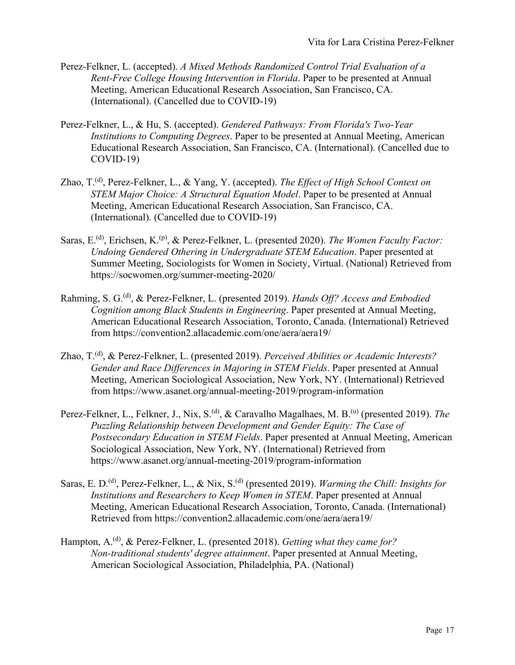- Perez-Felkner, L. (accepted). *A Mixed Methods Randomized Control Trial Evaluation of a Rent-Free College Housing Intervention in Florida*. Paper to be presented at Annual Meeting, American Educational Research Association, San Francisco, CA. (International). (Cancelled due to COVID-19)
- Perez-Felkner, L., & Hu, S. (accepted). *Gendered Pathways: From Florida's Two-Year Institutions to Computing Degrees*. Paper to be presented at Annual Meeting, American Educational Research Association, San Francisco, CA. (International). (Cancelled due to COVID-19)
- Zhao, T.(d), Perez-Felkner, L., & Yang, Y. (accepted). *The Effect of High School Context on STEM Major Choice: A Structural Equation Model*. Paper to be presented at Annual Meeting, American Educational Research Association, San Francisco, CA. (International). (Cancelled due to COVID-19)
- Saras, E.<sup>(d)</sup>, Erichsen, K.<sup>(p)</sup>, & Perez-Felkner, L. (presented 2020). *The Women Faculty Factor: Undoing Gendered Othering in Undergraduate STEM Education*. Paper presented at Summer Meeting, Sociologists for Women in Society, Virtual. (National) Retrieved from <https://socwomen.org/summer-meeting-2020/>
- Rahming, S. G.(d), & Perez-Felkner, L. (presented 2019). *Hands Off? Access and Embodied Cognition among Black Students in Engineering*. Paper presented at Annual Meeting, American Educational Research Association, Toronto, Canada. (International) Retrieved from<https://convention2.allacademic.com/one/aera/aera19/>
- Zhao, T.<sup>(d)</sup>, & Perez-Felkner, L. (presented 2019). *Perceived Abilities or Academic Interests? Gender and Race Differences in Majoring in STEM Fields*. Paper presented at Annual Meeting, American Sociological Association, New York, NY. (International) Retrieved from<https://www.asanet.org/annual-meeting-2019/program-information>
- Perez-Felkner, L., Felkner, J., Nix, S.<sup>(d)</sup>, & Caravalho Magalhaes, M. B.<sup>(u)</sup> (presented 2019). *The Puzzling Relationship between Development and Gender Equity: The Case of Postsecondary Education in STEM Fields*. Paper presented at Annual Meeting, American Sociological Association, New York, NY. (International) Retrieved from <https://www.asanet.org/annual-meeting-2019/program-information>
- Saras, E. D.<sup>(d)</sup>, Perez-Felkner, L., & Nix, S.<sup>(d)</sup> (presented 2019). *Warming the Chill: Insights for Institutions and Researchers to Keep Women in STEM*. Paper presented at Annual Meeting, American Educational Research Association, Toronto, Canada. (International) Retrieved from<https://convention2.allacademic.com/one/aera/aera19/>
- Hampton, A.(d), & Perez-Felkner, L. (presented 2018). *Getting what they came for? Non-traditional students' degree attainment*. Paper presented at Annual Meeting, American Sociological Association, Philadelphia, PA. (National)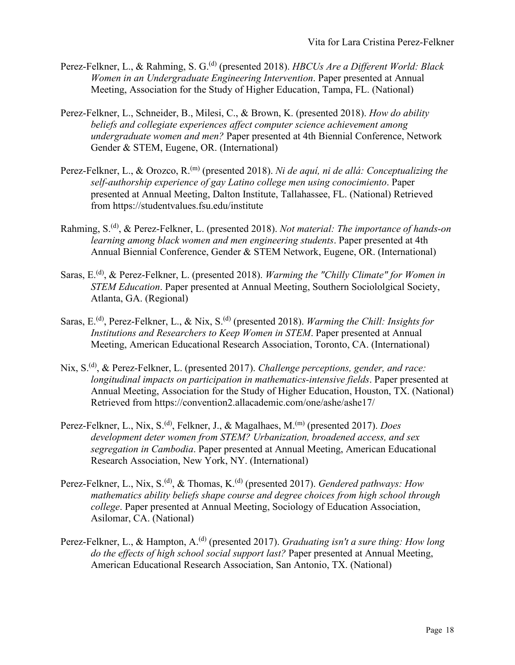- Perez-Felkner, L., & Rahming, S. G.<sup>(d)</sup> (presented 2018). *HBCUs Are a Different World: Black Women in an Undergraduate Engineering Intervention*. Paper presented at Annual Meeting, Association for the Study of Higher Education, Tampa, FL. (National)
- Perez-Felkner, L., Schneider, B., Milesi, C., & Brown, K. (presented 2018). *How do ability beliefs and collegiate experiences affect computer science achievement among undergraduate women and men?* Paper presented at 4th Biennial Conference, Network Gender & STEM, Eugene, OR. (International)
- Perez-Felkner, L., & Orozco, R.(m) (presented 2018). *Ni de aquí, ni de allá: Conceptualizing the self-authorship experience of gay Latino college men using conocimiento*. Paper presented at Annual Meeting, Dalton Institute, Tallahassee, FL. (National) Retrieved from<https://studentvalues.fsu.edu/institute>
- Rahming, S.(d), & Perez-Felkner, L. (presented 2018). *Not material: The importance of hands-on learning among black women and men engineering students*. Paper presented at 4th Annual Biennial Conference, Gender & STEM Network, Eugene, OR. (International)
- Saras, E.<sup>(d)</sup>, & Perez-Felkner, L. (presented 2018). *Warming the "Chilly Climate" for Women in STEM Education*. Paper presented at Annual Meeting, Southern Sociololgical Society, Atlanta, GA. (Regional)
- Saras, E.<sup>(d)</sup>, Perez-Felkner, L., & Nix, S.<sup>(d)</sup> (presented 2018). *Warming the Chill: Insights for Institutions and Researchers to Keep Women in STEM*. Paper presented at Annual Meeting, American Educational Research Association, Toronto, CA. (International)
- Nix, S.<sup>(d)</sup>, & Perez-Felkner, L. (presented 2017). *Challenge perceptions, gender, and race: longitudinal impacts on participation in mathematics-intensive fields*. Paper presented at Annual Meeting, Association for the Study of Higher Education, Houston, TX. (National) Retrieved from<https://convention2.allacademic.com/one/ashe/ashe17/>
- Perez-Felkner, L., Nix, S.(d), Felkner, J., & Magalhaes, M.(m) (presented 2017). *Does development deter women from STEM? Urbanization, broadened access, and sex segregation in Cambodia*. Paper presented at Annual Meeting, American Educational Research Association, New York, NY. (International)
- Perez-Felkner, L., Nix, S.<sup>(d)</sup>, & Thomas, K.<sup>(d)</sup> (presented 2017). *Gendered pathways: How mathematics ability beliefs shape course and degree choices from high school through college*. Paper presented at Annual Meeting, Sociology of Education Association, Asilomar, CA. (National)
- Perez-Felkner, L., & Hampton, A.<sup>(d)</sup> (presented 2017). *Graduating isn't a sure thing: How long do the effects of high school social support last?* Paper presented at Annual Meeting, American Educational Research Association, San Antonio, TX. (National)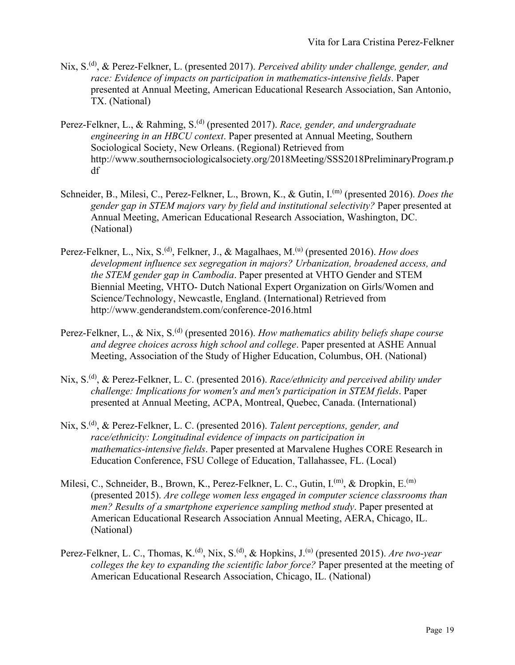- Nix, S.(d), & Perez-Felkner, L. (presented 2017). *Perceived ability under challenge, gender, and race: Evidence of impacts on participation in mathematics-intensive fields*. Paper presented at Annual Meeting, American Educational Research Association, San Antonio, TX. (National)
- Perez-Felkner, L., & Rahming, S.<sup>(d)</sup> (presented 2017). *Race, gender, and undergraduate engineering in an HBCU context*. Paper presented at Annual Meeting, Southern Sociological Society, New Orleans. (Regional) Retrieved from [http://www.southernsociologicalsociety.org/2018Meeting/SSS2018PreliminaryProgram.p](http://www.southernsociologicalsociety.org/2018Meeting/SSS2018PreliminaryProgram.pdf) [df](http://www.southernsociologicalsociety.org/2018Meeting/SSS2018PreliminaryProgram.pdf)
- Schneider, B., Milesi, C., Perez-Felkner, L., Brown, K., & Gutin, I.<sup>(m)</sup> (presented 2016). *Does the gender gap in STEM majors vary by field and institutional selectivity?* Paper presented at Annual Meeting, American Educational Research Association, Washington, DC. (National)
- Perez-Felkner, L., Nix, S.<sup>(d)</sup>, Felkner, J., & Magalhaes, M.<sup>(u)</sup> (presented 2016). *How does development influence sex segregation in majors? Urbanization, broadened access, and the STEM gender gap in Cambodia*. Paper presented at VHTO Gender and STEM Biennial Meeting, VHTO- Dutch National Expert Organization on Girls/Women and Science/Technology, Newcastle, England. (International) Retrieved from <http://www.genderandstem.com/conference-2016.html>
- Perez-Felkner, L., & Nix, S.<sup>(d)</sup> (presented 2016). *How mathematics ability beliefs shape course and degree choices across high school and college*. Paper presented at ASHE Annual Meeting, Association of the Study of Higher Education, Columbus, OH. (National)
- Nix, S.(d), & Perez-Felkner, L. C. (presented 2016). *Race/ethnicity and perceived ability under challenge: Implications for women's and men's participation in STEM fields*. Paper presented at Annual Meeting, ACPA, Montreal, Quebec, Canada. (International)
- Nix, S.(d), & Perez-Felkner, L. C. (presented 2016). *Talent perceptions, gender, and race/ethnicity: Longitudinal evidence of impacts on participation in mathematics-intensive fields*. Paper presented at Marvalene Hughes CORE Research in Education Conference, FSU College of Education, Tallahassee, FL. (Local)
- Milesi, C., Schneider, B., Brown, K., Perez-Felkner, L. C., Gutin, I.<sup>(m)</sup>, & Dropkin, E.<sup>(m)</sup> (presented 2015). *Are college women less engaged in computer science classrooms than men? Results of a smartphone experience sampling method study*. Paper presented at American Educational Research Association Annual Meeting, AERA, Chicago, IL. (National)
- Perez-Felkner, L. C., Thomas, K.<sup>(d)</sup>, Nix, S.<sup>(d)</sup>, & Hopkins, J.<sup>(u)</sup> (presented 2015). *Are two-year colleges the key to expanding the scientific labor force?* Paper presented at the meeting of American Educational Research Association, Chicago, IL. (National)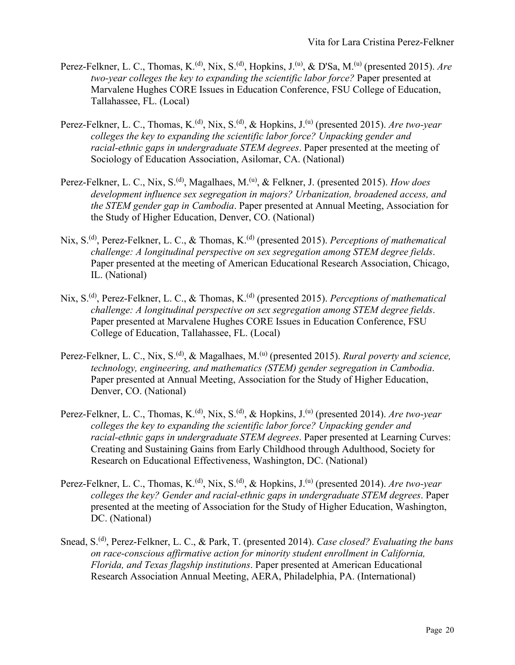- Perez-Felkner, L. C., Thomas, K.<sup>(d)</sup>, Nix, S.<sup>(d)</sup>, Hopkins, J.<sup>(u)</sup>, & D'Sa, M.<sup>(u)</sup> (presented 2015). *Are two-year colleges the key to expanding the scientific labor force?* Paper presented at Marvalene Hughes CORE Issues in Education Conference, FSU College of Education, Tallahassee, FL. (Local)
- Perez-Felkner, L. C., Thomas, K.<sup>(d)</sup>, Nix, S.<sup>(d)</sup>, & Hopkins, J.<sup>(u)</sup> (presented 2015). *Are two-year colleges the key to expanding the scientific labor force? Unpacking gender and racial-ethnic gaps in undergraduate STEM degrees*. Paper presented at the meeting of Sociology of Education Association, Asilomar, CA. (National)
- Perez-Felkner, L. C., Nix, S.<sup>(d)</sup>, Magalhaes, M.<sup>(u)</sup>, & Felkner, J. (presented 2015). *How does development influence sex segregation in majors? Urbanization, broadened access, and the STEM gender gap in Cambodia*. Paper presented at Annual Meeting, Association for the Study of Higher Education, Denver, CO. (National)
- Nix, S.<sup>(d)</sup>, Perez-Felkner, L. C., & Thomas, K.<sup>(d)</sup> (presented 2015). *Perceptions of mathematical challenge: A longitudinal perspective on sex segregation among STEM degree fields*. Paper presented at the meeting of American Educational Research Association, Chicago, IL. (National)
- Nix, S.<sup>(d)</sup>, Perez-Felkner, L. C., & Thomas, K.<sup>(d)</sup> (presented 2015). *Perceptions of mathematical challenge: A longitudinal perspective on sex segregation among STEM degree fields*. Paper presented at Marvalene Hughes CORE Issues in Education Conference, FSU College of Education, Tallahassee, FL. (Local)
- Perez-Felkner, L. C., Nix, S.<sup>(d)</sup>, & Magalhaes, M.<sup>(u)</sup> (presented 2015). *Rural poverty and science*, *technology, engineering, and mathematics (STEM) gender segregation in Cambodia*. Paper presented at Annual Meeting, Association for the Study of Higher Education, Denver, CO. (National)
- Perez-Felkner, L. C., Thomas, K.<sup>(d)</sup>, Nix, S.<sup>(d)</sup>, & Hopkins, J.<sup>(u)</sup> (presented 2014). *Are two-year colleges the key to expanding the scientific labor force? Unpacking gender and racial-ethnic gaps in undergraduate STEM degrees*. Paper presented at Learning Curves: Creating and Sustaining Gains from Early Childhood through Adulthood, Society for Research on Educational Effectiveness, Washington, DC. (National)
- Perez-Felkner, L. C., Thomas, K.<sup>(d)</sup>, Nix, S.<sup>(d)</sup>, & Hopkins, J.<sup>(u)</sup> (presented 2014). *Are two-year colleges the key? Gender and racial-ethnic gaps in undergraduate STEM degrees*. Paper presented at the meeting of Association for the Study of Higher Education, Washington, DC. (National)
- Snead, S.(d), Perez-Felkner, L. C., & Park, T. (presented 2014). *Case closed? Evaluating the bans on race-conscious affirmative action for minority student enrollment in California, Florida, and Texas flagship institutions*. Paper presented at American Educational Research Association Annual Meeting, AERA, Philadelphia, PA. (International)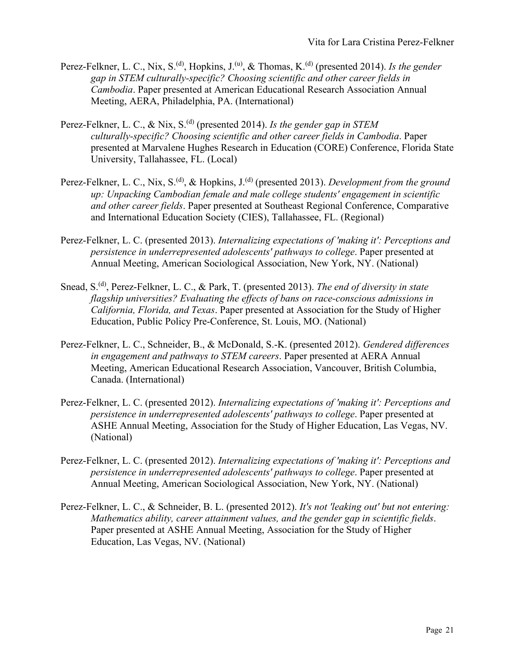- Perez-Felkner, L. C., Nix, S.<sup>(d)</sup>, Hopkins, J.<sup>(u)</sup>, & Thomas, K.<sup>(d)</sup> (presented 2014). *Is the gender gap in STEM culturally-specific? Choosing scientific and other career fields in Cambodia*. Paper presented at American Educational Research Association Annual Meeting, AERA, Philadelphia, PA. (International)
- Perez-Felkner, L. C., & Nix, S.<sup>(d)</sup> (presented 2014). *Is the gender gap in STEM culturally-specific? Choosing scientific and other career fields in Cambodia*. Paper presented at Marvalene Hughes Research in Education (CORE) Conference, Florida State University, Tallahassee, FL. (Local)
- Perez-Felkner, L. C., Nix, S.<sup>(d)</sup>, & Hopkins, J.<sup>(d)</sup> (presented 2013). *Development from the ground up: Unpacking Cambodian female and male college students' engagement in scientific and other career fields*. Paper presented at Southeast Regional Conference, Comparative and International Education Society (CIES), Tallahassee, FL. (Regional)
- Perez-Felkner, L. C. (presented 2013). *Internalizing expectations of 'making it': Perceptions and persistence in underrepresented adolescents' pathways to college*. Paper presented at Annual Meeting, American Sociological Association, New York, NY. (National)
- Snead, S.(d), Perez-Felkner, L. C., & Park, T. (presented 2013). *The end of diversity in state flagship universities? Evaluating the effects of bans on race-conscious admissions in California, Florida, and Texas*. Paper presented at Association for the Study of Higher Education, Public Policy Pre-Conference, St. Louis, MO. (National)
- Perez-Felkner, L. C., Schneider, B., & McDonald, S.-K. (presented 2012). *Gendered differences in engagement and pathways to STEM careers*. Paper presented at AERA Annual Meeting, American Educational Research Association, Vancouver, British Columbia, Canada. (International)
- Perez-Felkner, L. C. (presented 2012). *Internalizing expectations of 'making it': Perceptions and persistence in underrepresented adolescents' pathways to college*. Paper presented at ASHE Annual Meeting, Association for the Study of Higher Education, Las Vegas, NV. (National)
- Perez-Felkner, L. C. (presented 2012). *Internalizing expectations of 'making it': Perceptions and persistence in underrepresented adolescents' pathways to college*. Paper presented at Annual Meeting, American Sociological Association, New York, NY. (National)
- Perez-Felkner, L. C., & Schneider, B. L. (presented 2012). *It's not 'leaking out' but not entering: Mathematics ability, career attainment values, and the gender gap in scientific fields*. Paper presented at ASHE Annual Meeting, Association for the Study of Higher Education, Las Vegas, NV. (National)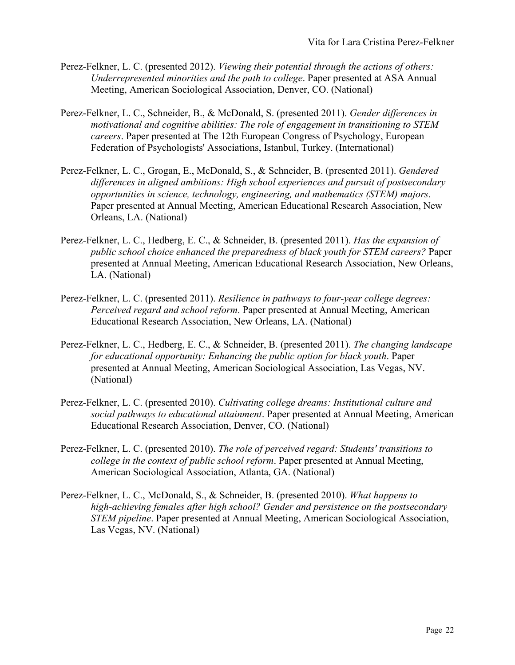- Perez-Felkner, L. C. (presented 2012). *Viewing their potential through the actions of others: Underrepresented minorities and the path to college*. Paper presented at ASA Annual Meeting, American Sociological Association, Denver, CO. (National)
- Perez-Felkner, L. C., Schneider, B., & McDonald, S. (presented 2011). *Gender differences in motivational and cognitive abilities: The role of engagement in transitioning to STEM careers*. Paper presented at The 12th European Congress of Psychology, European Federation of Psychologists' Associations, Istanbul, Turkey. (International)
- Perez-Felkner, L. C., Grogan, E., McDonald, S., & Schneider, B. (presented 2011). *Gendered differences in aligned ambitions: High school experiences and pursuit of postsecondary opportunities in science, technology, engineering, and mathematics (STEM) majors*. Paper presented at Annual Meeting, American Educational Research Association, New Orleans, LA. (National)
- Perez-Felkner, L. C., Hedberg, E. C., & Schneider, B. (presented 2011). *Has the expansion of public school choice enhanced the preparedness of black youth for STEM careers?* Paper presented at Annual Meeting, American Educational Research Association, New Orleans, LA. (National)
- Perez-Felkner, L. C. (presented 2011). *Resilience in pathways to four-year college degrees: Perceived regard and school reform*. Paper presented at Annual Meeting, American Educational Research Association, New Orleans, LA. (National)
- Perez-Felkner, L. C., Hedberg, E. C., & Schneider, B. (presented 2011). *The changing landscape for educational opportunity: Enhancing the public option for black youth*. Paper presented at Annual Meeting, American Sociological Association, Las Vegas, NV. (National)
- Perez-Felkner, L. C. (presented 2010). *Cultivating college dreams: Institutional culture and social pathways to educational attainment*. Paper presented at Annual Meeting, American Educational Research Association, Denver, CO. (National)
- Perez-Felkner, L. C. (presented 2010). *The role of perceived regard: Students' transitions to college in the context of public school reform*. Paper presented at Annual Meeting, American Sociological Association, Atlanta, GA. (National)
- Perez-Felkner, L. C., McDonald, S., & Schneider, B. (presented 2010). *What happens to high-achieving females after high school? Gender and persistence on the postsecondary STEM pipeline*. Paper presented at Annual Meeting, American Sociological Association, Las Vegas, NV. (National)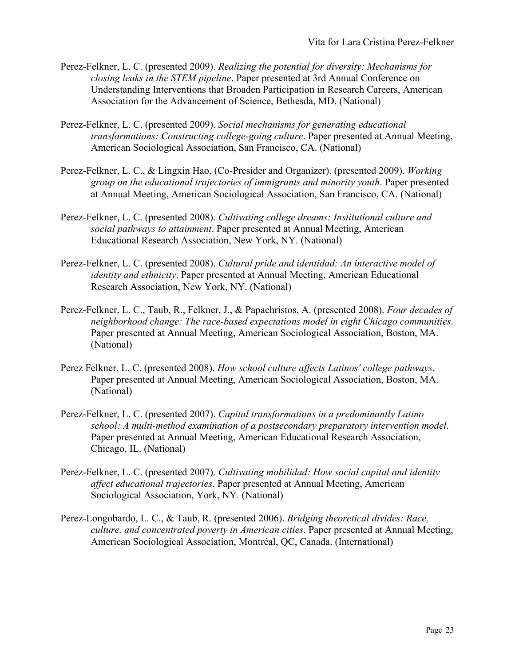- Perez-Felkner, L. C. (presented 2009). *Realizing the potential for diversity: Mechanisms for closing leaks in the STEM pipeline*. Paper presented at 3rd Annual Conference on Understanding Interventions that Broaden Participation in Research Careers, American Association for the Advancement of Science, Bethesda, MD. (National)
- Perez-Felkner, L. C. (presented 2009). *Social mechanisms for generating educational transformations: Constructing college-going culture*. Paper presented at Annual Meeting, American Sociological Association, San Francisco, CA. (National)
- Perez-Felkner, L. C., & Lingxin Hao, (Co-Presider and Organizer). (presented 2009). *Working group on the educational trajectories of immigrants and minority youth*. Paper presented at Annual Meeting, American Sociological Association, San Francisco, CA. (National)
- Perez-Felkner, L. C. (presented 2008). *Cultivating college dreams: Institutional culture and social pathways to attainment*. Paper presented at Annual Meeting, American Educational Research Association, New York, NY. (National)
- Perez-Felkner, L. C. (presented 2008). *Cultural pride and identidad: An interactive model of identity and ethnicity*. Paper presented at Annual Meeting, American Educational Research Association, New York, NY. (National)
- Perez-Felkner, L. C., Taub, R., Felkner, J., & Papachristos, A. (presented 2008). *Four decades of neighborhood change: The race-based expectations model in eight Chicago communities*. Paper presented at Annual Meeting, American Sociological Association, Boston, MA. (National)
- Perez Felkner, L. C. (presented 2008). *How school culture affects Latinos' college pathways*. Paper presented at Annual Meeting, American Sociological Association, Boston, MA. (National)
- Perez-Felkner, L. C. (presented 2007). *Capital transformations in a predominantly Latino school: A multi-method examination of a postsecondary preparatory intervention model*. Paper presented at Annual Meeting, American Educational Research Association, Chicago, IL. (National)
- Perez-Felkner, L. C. (presented 2007). *Cultivating mobilidad: How social capital and identity affect educational trajectories*. Paper presented at Annual Meeting, American Sociological Association, York, NY. (National)
- Perez-Longobardo, L. C., & Taub, R. (presented 2006). *Bridging theoretical divides: Race, culture, and concentrated poverty in American cities*. Paper presented at Annual Meeting, American Sociological Association, Montréal, QC, Canada. (International)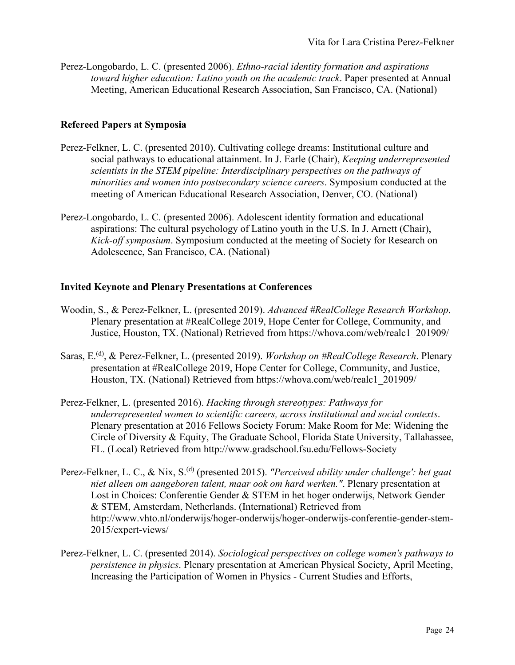Perez-Longobardo, L. C. (presented 2006). *Ethno-racial identity formation and aspirations toward higher education: Latino youth on the academic track*. Paper presented at Annual Meeting, American Educational Research Association, San Francisco, CA. (National)

# **Refereed Papers at Symposia**

- Perez-Felkner, L. C. (presented 2010). Cultivating college dreams: Institutional culture and social pathways to educational attainment. In J. Earle (Chair), *Keeping underrepresented scientists in the STEM pipeline: Interdisciplinary perspectives on the pathways of minorities and women into postsecondary science careers*. Symposium conducted at the meeting of American Educational Research Association, Denver, CO. (National)
- Perez-Longobardo, L. C. (presented 2006). Adolescent identity formation and educational aspirations: The cultural psychology of Latino youth in the U.S. In J. Arnett (Chair), *Kick-off symposium*. Symposium conducted at the meeting of Society for Research on Adolescence, San Francisco, CA. (National)

#### **Invited Keynote and Plenary Presentations at Conferences**

- Woodin, S., & Perez-Felkner, L. (presented 2019). *Advanced #RealCollege Research Workshop*. Plenary presentation at #RealCollege 2019, Hope Center for College, Community, and Justice, Houston, TX. (National) Retrieved from [https://whova.com/web/realc1\\_201909/](https://whova.com/web/realc1_201909/)
- Saras, E.(d), & Perez-Felkner, L. (presented 2019). *Workshop on #RealCollege Research*. Plenary presentation at #RealCollege 2019, Hope Center for College, Community, and Justice, Houston, TX. (National) Retrieved from [https://whova.com/web/realc1\\_201909/](https://whova.com/web/realc1_201909/)
- Perez-Felkner, L. (presented 2016). *Hacking through stereotypes: Pathways for underrepresented women to scientific careers, across institutional and social contexts*. Plenary presentation at 2016 Fellows Society Forum: Make Room for Me: Widening the Circle of Diversity & Equity, The Graduate School, Florida State University, Tallahassee, FL. (Local) Retrieved from<http://www.gradschool.fsu.edu/Fellows-Society>
- Perez-Felkner, L. C., & Nix, S.(d) (presented 2015). *"Perceived ability under challenge': het gaat niet alleen om aangeboren talent, maar ook om hard werken."*. Plenary presentation at Lost in Choices: Conferentie Gender & STEM in het hoger onderwijs, Network Gender & STEM, Amsterdam, Netherlands. (International) Retrieved from [http://www.vhto.nl/onderwijs/hoger-onderwijs/hoger-onderwijs-conferentie-gender-stem-](http://www.vhto.nl/onderwijs/hoger-onderwijs/hoger-onderwijs-conferentie-gender-stem-2015/expert-views/)[2015/expert-views/](http://www.vhto.nl/onderwijs/hoger-onderwijs/hoger-onderwijs-conferentie-gender-stem-2015/expert-views/)
- Perez-Felkner, L. C. (presented 2014). *Sociological perspectives on college women's pathways to persistence in physics*. Plenary presentation at American Physical Society, April Meeting, Increasing the Participation of Women in Physics - Current Studies and Efforts,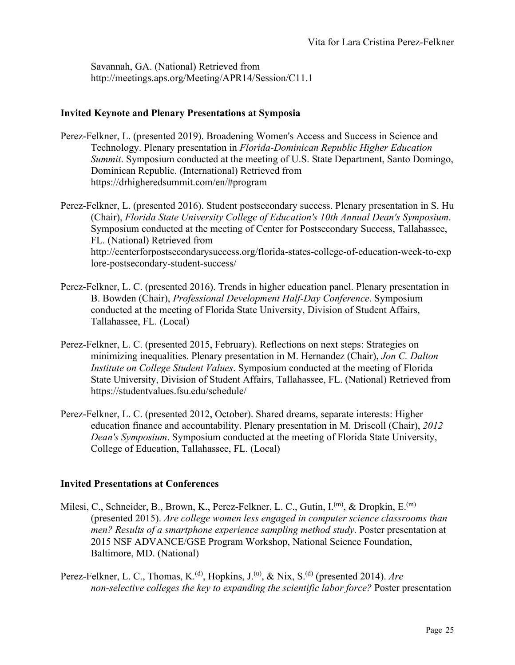Savannah, GA. (National) Retrieved from <http://meetings.aps.org/Meeting/APR14/Session/C11.1>

#### **Invited Keynote and Plenary Presentations at Symposia**

- Perez-Felkner, L. (presented 2019). Broadening Women's Access and Success in Science and Technology. Plenary presentation in *Florida-Dominican Republic Higher Education Summit*. Symposium conducted at the meeting of U.S. State Department, Santo Domingo, Dominican Republic. (International) Retrieved from <https://drhigheredsummit.com/en/#program>
- Perez-Felkner, L. (presented 2016). Student postsecondary success. Plenary presentation in S. Hu (Chair), *Florida State University College of Education's 10th Annual Dean's Symposium*. Symposium conducted at the meeting of Center for Postsecondary Success, Tallahassee, FL. (National) Retrieved from [http://centerforpostsecondarysuccess.org/florida-states-college-of-education-week-to-exp](http://centerforpostsecondarysuccess.org/florida-states-college-of-education-week-to-explore-postsecondary-student-success/) [lore-postsecondary-student-success/](http://centerforpostsecondarysuccess.org/florida-states-college-of-education-week-to-explore-postsecondary-student-success/)
- Perez-Felkner, L. C. (presented 2016). Trends in higher education panel. Plenary presentation in B. Bowden (Chair), *Professional Development Half-Day Conference*. Symposium conducted at the meeting of Florida State University, Division of Student Affairs, Tallahassee, FL. (Local)
- Perez-Felkner, L. C. (presented 2015, February). Reflections on next steps: Strategies on minimizing inequalities. Plenary presentation in M. Hernandez (Chair), *Jon C. Dalton Institute on College Student Values*. Symposium conducted at the meeting of Florida State University, Division of Student Affairs, Tallahassee, FL. (National) Retrieved from <https://studentvalues.fsu.edu/schedule/>
- Perez-Felkner, L. C. (presented 2012, October). Shared dreams, separate interests: Higher education finance and accountability. Plenary presentation in M. Driscoll (Chair), *2012 Dean's Symposium*. Symposium conducted at the meeting of Florida State University, College of Education, Tallahassee, FL. (Local)

#### **Invited Presentations at Conferences**

- Milesi, C., Schneider, B., Brown, K., Perez-Felkner, L. C., Gutin, I.<sup>(m)</sup>, & Dropkin, E.<sup>(m)</sup> (presented 2015). *Are college women less engaged in computer science classrooms than men? Results of a smartphone experience sampling method study*. Poster presentation at 2015 NSF ADVANCE/GSE Program Workshop, National Science Foundation, Baltimore, MD. (National)
- Perez-Felkner, L. C., Thomas, K.<sup>(d)</sup>, Hopkins, J.<sup>(u)</sup>, & Nix, S.<sup>(d)</sup> (presented 2014). *Are non-selective colleges the key to expanding the scientific labor force?* Poster presentation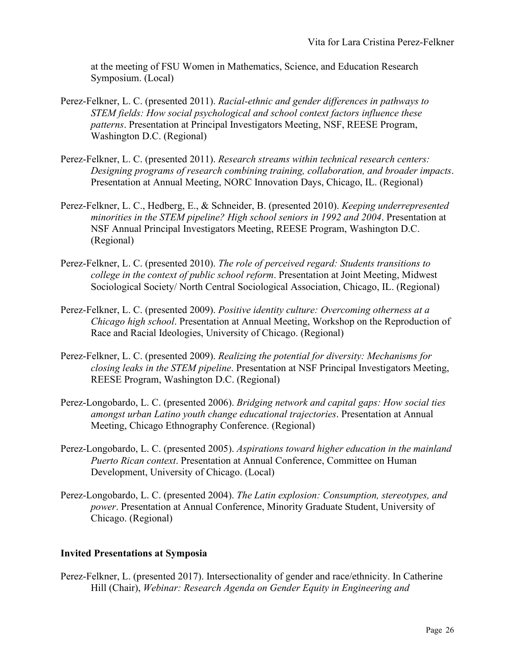at the meeting of FSU Women in Mathematics, Science, and Education Research Symposium. (Local)

- Perez-Felkner, L. C. (presented 2011). *Racial-ethnic and gender differences in pathways to STEM fields: How social psychological and school context factors influence these patterns*. Presentation at Principal Investigators Meeting, NSF, REESE Program, Washington D.C. (Regional)
- Perez-Felkner, L. C. (presented 2011). *Research streams within technical research centers: Designing programs of research combining training, collaboration, and broader impacts*. Presentation at Annual Meeting, NORC Innovation Days, Chicago, IL. (Regional)
- Perez-Felkner, L. C., Hedberg, E., & Schneider, B. (presented 2010). *Keeping underrepresented minorities in the STEM pipeline? High school seniors in 1992 and 2004*. Presentation at NSF Annual Principal Investigators Meeting, REESE Program, Washington D.C. (Regional)
- Perez-Felkner, L. C. (presented 2010). *The role of perceived regard: Students transitions to college in the context of public school reform*. Presentation at Joint Meeting, Midwest Sociological Society/ North Central Sociological Association, Chicago, IL. (Regional)
- Perez-Felkner, L. C. (presented 2009). *Positive identity culture: Overcoming otherness at a Chicago high school*. Presentation at Annual Meeting, Workshop on the Reproduction of Race and Racial Ideologies, University of Chicago. (Regional)
- Perez-Felkner, L. C. (presented 2009). *Realizing the potential for diversity: Mechanisms for closing leaks in the STEM pipeline*. Presentation at NSF Principal Investigators Meeting, REESE Program, Washington D.C. (Regional)
- Perez-Longobardo, L. C. (presented 2006). *Bridging network and capital gaps: How social ties amongst urban Latino youth change educational trajectories*. Presentation at Annual Meeting, Chicago Ethnography Conference. (Regional)
- Perez-Longobardo, L. C. (presented 2005). *Aspirations toward higher education in the mainland Puerto Rican context*. Presentation at Annual Conference, Committee on Human Development, University of Chicago. (Local)
- Perez-Longobardo, L. C. (presented 2004). *The Latin explosion: Consumption, stereotypes, and power*. Presentation at Annual Conference, Minority Graduate Student, University of Chicago. (Regional)

#### **Invited Presentations at Symposia**

Perez-Felkner, L. (presented 2017). Intersectionality of gender and race/ethnicity. In Catherine Hill (Chair), *Webinar: Research Agenda on Gender Equity in Engineering and*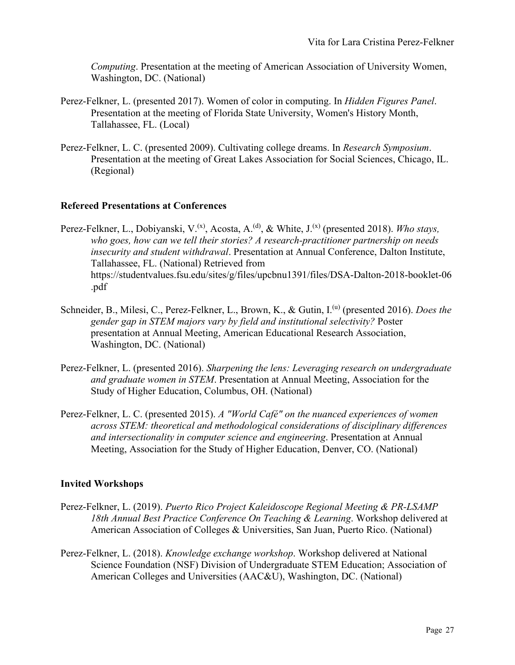*Computing*. Presentation at the meeting of American Association of University Women, Washington, DC. (National)

- Perez-Felkner, L. (presented 2017). Women of color in computing. In *Hidden Figures Panel*. Presentation at the meeting of Florida State University, Women's History Month, Tallahassee, FL. (Local)
- Perez-Felkner, L. C. (presented 2009). Cultivating college dreams. In *Research Symposium*. Presentation at the meeting of Great Lakes Association for Social Sciences, Chicago, IL. (Regional)

### **Refereed Presentations at Conferences**

Perez-Felkner, L., Dobiyanski, V.<sup>(x)</sup>, Acosta, A.<sup>(d)</sup>, & White, J.<sup>(x)</sup> (presented 2018). *Who stays,* who goes, how can we tell their stories? A research-practitioner partnership on needs *insecurity and student withdrawal*. Presentation at Annual Conference, Dalton Institute, Tallahassee, FL. (National) Retrieved from [https://studentvalues.fsu.edu/sites/g/files/upcbnu1391/files/DSA-Dalton-2018-booklet-06](https://studentvalues.fsu.edu/sites/g/files/upcbnu1391/files/DSA-Dalton-2018-booklet-06.pdf) [.pdf](https://studentvalues.fsu.edu/sites/g/files/upcbnu1391/files/DSA-Dalton-2018-booklet-06.pdf)

- Schneider, B., Milesi, C., Perez-Felkner, L., Brown, K., & Gutin, I.<sup>(u)</sup> (presented 2016). *Does the gender gap in STEM majors vary by field and institutional selectivity?* Poster presentation at Annual Meeting, American Educational Research Association, Washington, DC. (National)
- Perez-Felkner, L. (presented 2016). *Sharpening the lens: Leveraging research on undergraduate and graduate women in STEM*. Presentation at Annual Meeting, Association for the Study of Higher Education, Columbus, OH. (National)
- Perez-Felkner, L. C. (presented 2015). *A "World Café" on the nuanced experiences of women across STEM: theoretical and methodological considerations of disciplinary differences and intersectionality in computer science and engineering*. Presentation at Annual Meeting, Association for the Study of Higher Education, Denver, CO. (National)

#### **Invited Workshops**

- Perez-Felkner, L. (2019). *Puerto Rico Project Kaleidoscope Regional Meeting & PR-LSAMP 18th Annual Best Practice Conference On Teaching & Learning*. Workshop delivered at American Association of Colleges & Universities, San Juan, Puerto Rico. (National)
- Perez-Felkner, L. (2018). *Knowledge exchange workshop*. Workshop delivered at National Science Foundation (NSF) Division of Undergraduate STEM Education; Association of American Colleges and Universities (AAC&U), Washington, DC. (National)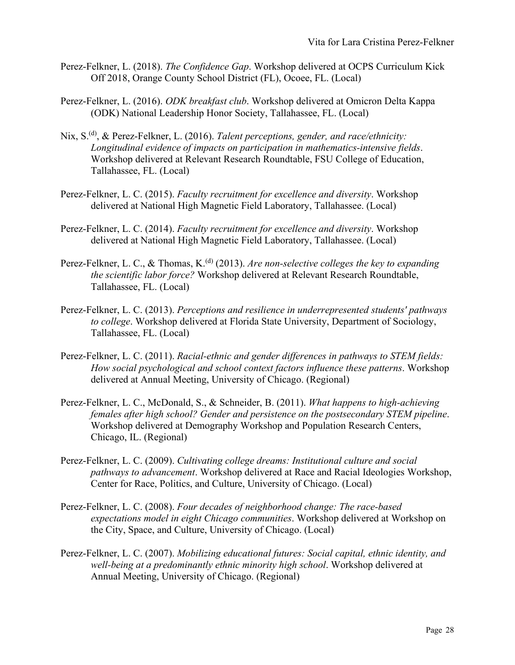- Perez-Felkner, L. (2018). *The Confidence Gap*. Workshop delivered at OCPS Curriculum Kick Off 2018, Orange County School District (FL), Ocoee, FL. (Local)
- Perez-Felkner, L. (2016). *ODK breakfast club*. Workshop delivered at Omicron Delta Kappa (ODK) National Leadership Honor Society, Tallahassee, FL. (Local)
- Nix, S.<sup>(d)</sup>, & Perez-Felkner, L. (2016). *Talent perceptions, gender, and race/ethnicity: Longitudinal evidence of impacts on participation in mathematics-intensive fields*. Workshop delivered at Relevant Research Roundtable, FSU College of Education, Tallahassee, FL. (Local)
- Perez-Felkner, L. C. (2015). *Faculty recruitment for excellence and diversity*. Workshop delivered at National High Magnetic Field Laboratory, Tallahassee. (Local)
- Perez-Felkner, L. C. (2014). *Faculty recruitment for excellence and diversity*. Workshop delivered at National High Magnetic Field Laboratory, Tallahassee. (Local)
- Perez-Felkner, L. C., & Thomas, K.<sup>(d)</sup> (2013). *Are non-selective colleges the key to expanding the scientific labor force?* Workshop delivered at Relevant Research Roundtable, Tallahassee, FL. (Local)
- Perez-Felkner, L. C. (2013). *Perceptions and resilience in underrepresented students' pathways to college*. Workshop delivered at Florida State University, Department of Sociology, Tallahassee, FL. (Local)
- Perez-Felkner, L. C. (2011). *Racial-ethnic and gender differences in pathways to STEM fields: How social psychological and school context factors influence these patterns*. Workshop delivered at Annual Meeting, University of Chicago. (Regional)
- Perez-Felkner, L. C., McDonald, S., & Schneider, B. (2011). *What happens to high-achieving females after high school? Gender and persistence on the postsecondary STEM pipeline*. Workshop delivered at Demography Workshop and Population Research Centers, Chicago, IL. (Regional)
- Perez-Felkner, L. C. (2009). *Cultivating college dreams: Institutional culture and social pathways to advancement*. Workshop delivered at Race and Racial Ideologies Workshop, Center for Race, Politics, and Culture, University of Chicago. (Local)
- Perez-Felkner, L. C. (2008). *Four decades of neighborhood change: The race-based expectations model in eight Chicago communities*. Workshop delivered at Workshop on the City, Space, and Culture, University of Chicago. (Local)
- Perez-Felkner, L. C. (2007). *Mobilizing educational futures: Social capital, ethnic identity, and well-being at a predominantly ethnic minority high school*. Workshop delivered at Annual Meeting, University of Chicago. (Regional)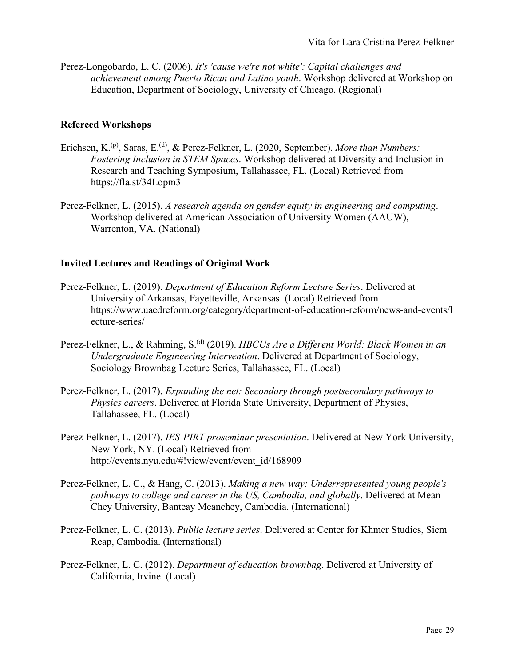Perez-Longobardo, L. C. (2006). *It's 'cause we're not white': Capital challenges and achievement among Puerto Rican and Latino youth*. Workshop delivered at Workshop on Education, Department of Sociology, University of Chicago. (Regional)

#### **Refereed Workshops**

- Erichsen, K.<sup>(p)</sup>, Saras, E.<sup>(d)</sup>, & Perez-Felkner, L. (2020, September). *More than Numbers: Fostering Inclusion in STEM Spaces*. Workshop delivered at Diversity and Inclusion in Research and Teaching Symposium, Tallahassee, FL. (Local) Retrieved from <https://fla.st/34Lopm3>
- Perez-Felkner, L. (2015). *A research agenda on gender equity in engineering and computing*. Workshop delivered at American Association of University Women (AAUW), Warrenton, VA. (National)

#### **Invited Lectures and Readings of Original Work**

- Perez-Felkner, L. (2019). *Department of Education Reform Lecture Series*. Delivered at University of Arkansas, Fayetteville, Arkansas. (Local) Retrieved from [https://www.uaedreform.org/category/department-of-education-reform/news-and-events/l](https://www.uaedreform.org/category/department-of-education-reform/news-and-events/lecture-series/) [ecture-series/](https://www.uaedreform.org/category/department-of-education-reform/news-and-events/lecture-series/)
- Perez-Felkner, L., & Rahming, S.<sup>(d)</sup> (2019). *HBCUs Are a Different World: Black Women in an Undergraduate Engineering Intervention*. Delivered at Department of Sociology, Sociology Brownbag Lecture Series, Tallahassee, FL. (Local)
- Perez-Felkner, L. (2017). *Expanding the net: Secondary through postsecondary pathways to Physics careers*. Delivered at Florida State University, Department of Physics, Tallahassee, FL. (Local)
- Perez-Felkner, L. (2017). *IES-PIRT proseminar presentation*. Delivered at New York University, New York, NY. (Local) Retrieved from [http://events.nyu.edu/#!view/event/event\\_id/168909](http://events.nyu.edu/#!view/event/event_id/168909)
- Perez-Felkner, L. C., & Hang, C. (2013). *Making a new way: Underrepresented young people's pathways to college and career in the US, Cambodia, and globally*. Delivered at Mean Chey University, Banteay Meanchey, Cambodia. (International)
- Perez-Felkner, L. C. (2013). *Public lecture series*. Delivered at Center for Khmer Studies, Siem Reap, Cambodia. (International)
- Perez-Felkner, L. C. (2012). *Department of education brownbag*. Delivered at University of California, Irvine. (Local)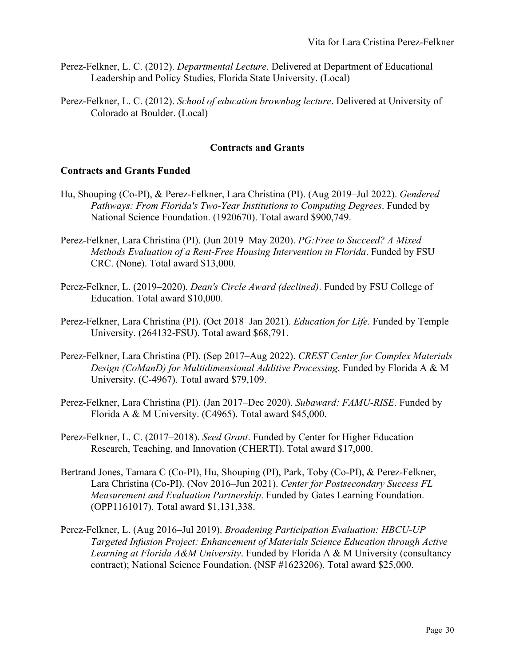- Perez-Felkner, L. C. (2012). *Departmental Lecture*. Delivered at Department of Educational Leadership and Policy Studies, Florida State University. (Local)
- Perez-Felkner, L. C. (2012). *School of education brownbag lecture*. Delivered at University of Colorado at Boulder. (Local)

# **Contracts and Grants**

### **Contracts and Grants Funded**

- Hu, Shouping (Co-PI), & Perez-Felkner, Lara Christina (PI). (Aug 2019–Jul 2022). *Gendered Pathways: From Florida's Two-Year Institutions to Computing Degrees*. Funded by National Science Foundation. (1920670). Total award \$900,749.
- Perez-Felkner, Lara Christina (PI). (Jun 2019–May 2020). *PG:Free to Succeed? A Mixed Methods Evaluation of a Rent-Free Housing Intervention in Florida*. Funded by FSU CRC. (None). Total award \$13,000.
- Perez-Felkner, L. (2019–2020). *Dean's Circle Award (declined)*. Funded by FSU College of Education. Total award \$10,000.
- Perez-Felkner, Lara Christina (PI). (Oct 2018–Jan 2021). *Education for Life*. Funded by Temple University. (264132-FSU). Total award \$68,791.
- Perez-Felkner, Lara Christina (PI). (Sep 2017–Aug 2022). *CREST Center for Complex Materials Design (CoManD) for Multidimensional Additive Processing*. Funded by Florida A & M University. (C-4967). Total award \$79,109.
- Perez-Felkner, Lara Christina (PI). (Jan 2017–Dec 2020). *Subaward: FAMU-RISE*. Funded by Florida A & M University. (C4965). Total award \$45,000.
- Perez-Felkner, L. C. (2017–2018). *Seed Grant*. Funded by Center for Higher Education Research, Teaching, and Innovation (CHERTI). Total award \$17,000.
- Bertrand Jones, Tamara C (Co-PI), Hu, Shouping (PI), Park, Toby (Co-PI), & Perez-Felkner, Lara Christina (Co-PI). (Nov 2016–Jun 2021). *Center for Postsecondary Success FL Measurement and Evaluation Partnership*. Funded by Gates Learning Foundation. (OPP1161017). Total award \$1,131,338.
- Perez-Felkner, L. (Aug 2016–Jul 2019). *Broadening Participation Evaluation: HBCU-UP Targeted Infusion Project: Enhancement of Materials Science Education through Active Learning at Florida A&M University*. Funded by Florida A & M University (consultancy contract); National Science Foundation. (NSF #1623206). Total award \$25,000.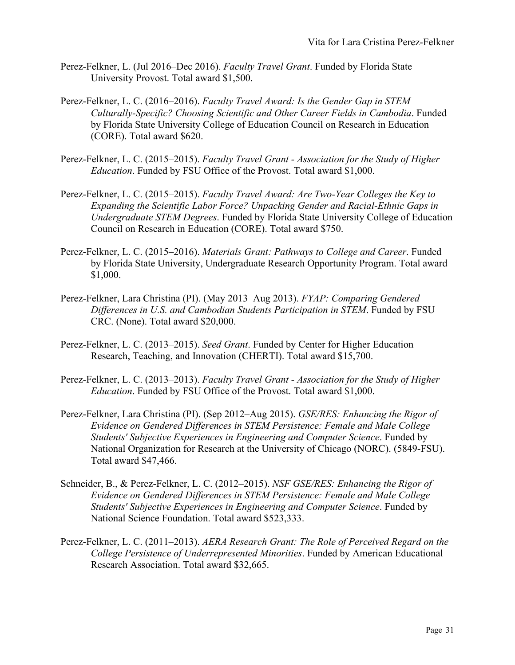- Perez-Felkner, L. (Jul 2016–Dec 2016). *Faculty Travel Grant*. Funded by Florida State University Provost. Total award \$1,500.
- Perez-Felkner, L. C. (2016–2016). *Faculty Travel Award: Is the Gender Gap in STEM Culturally-Specific? Choosing Scientific and Other Career Fields in Cambodia*. Funded by Florida State University College of Education Council on Research in Education (CORE). Total award \$620.
- Perez-Felkner, L. C. (2015–2015). *Faculty Travel Grant - Association for the Study of Higher Education*. Funded by FSU Office of the Provost. Total award \$1,000.
- Perez-Felkner, L. C. (2015–2015). *Faculty Travel Award: Are Two-Year Colleges the Key to Expanding the Scientific Labor Force? Unpacking Gender and Racial-Ethnic Gaps in Undergraduate STEM Degrees*. Funded by Florida State University College of Education Council on Research in Education (CORE). Total award \$750.
- Perez-Felkner, L. C. (2015–2016). *Materials Grant: Pathways to College and Career*. Funded by Florida State University, Undergraduate Research Opportunity Program. Total award \$1,000.
- Perez-Felkner, Lara Christina (PI). (May 2013–Aug 2013). *FYAP: Comparing Gendered Differences in U.S. and Cambodian Students Participation in STEM*. Funded by FSU CRC. (None). Total award \$20,000.
- Perez-Felkner, L. C. (2013–2015). *Seed Grant*. Funded by Center for Higher Education Research, Teaching, and Innovation (CHERTI). Total award \$15,700.
- Perez-Felkner, L. C. (2013–2013). *Faculty Travel Grant - Association for the Study of Higher Education*. Funded by FSU Office of the Provost. Total award \$1,000.
- Perez-Felkner, Lara Christina (PI). (Sep 2012–Aug 2015). *GSE/RES: Enhancing the Rigor of Evidence on Gendered Differences in STEM Persistence: Female and Male College Students' Subjective Experiences in Engineering and Computer Science*. Funded by National Organization for Research at the University of Chicago (NORC). (5849-FSU). Total award \$47,466.
- Schneider, B., & Perez-Felkner, L. C. (2012–2015). *NSF GSE/RES: Enhancing the Rigor of Evidence on Gendered Differences in STEM Persistence: Female and Male College Students' Subjective Experiences in Engineering and Computer Science*. Funded by National Science Foundation. Total award \$523,333.
- Perez-Felkner, L. C. (2011–2013). *AERA Research Grant: The Role of Perceived Regard on the College Persistence of Underrepresented Minorities*. Funded by American Educational Research Association. Total award \$32,665.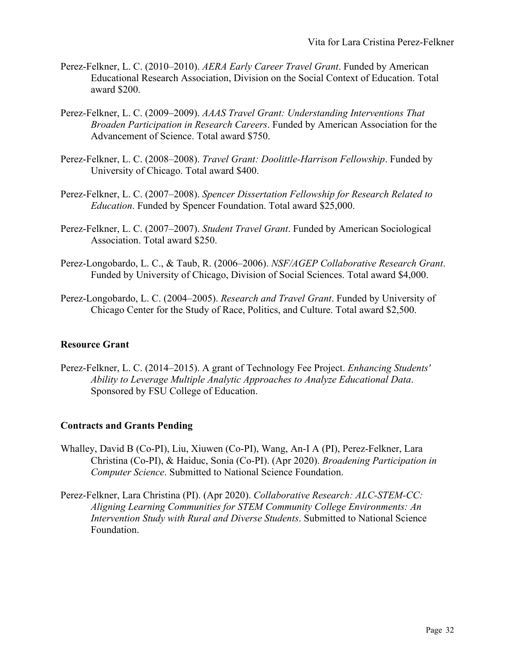- Perez-Felkner, L. C. (2010–2010). *AERA Early Career Travel Grant*. Funded by American Educational Research Association, Division on the Social Context of Education. Total award \$200.
- Perez-Felkner, L. C. (2009–2009). *AAAS Travel Grant: Understanding Interventions That Broaden Participation in Research Careers*. Funded by American Association for the Advancement of Science. Total award \$750.
- Perez-Felkner, L. C. (2008–2008). *Travel Grant: Doolittle-Harrison Fellowship*. Funded by University of Chicago. Total award \$400.
- Perez-Felkner, L. C. (2007–2008). *Spencer Dissertation Fellowship for Research Related to Education*. Funded by Spencer Foundation. Total award \$25,000.
- Perez-Felkner, L. C. (2007–2007). *Student Travel Grant*. Funded by American Sociological Association. Total award \$250.
- Perez-Longobardo, L. C., & Taub, R. (2006–2006). *NSF/AGEP Collaborative Research Grant*. Funded by University of Chicago, Division of Social Sciences. Total award \$4,000.
- Perez-Longobardo, L. C. (2004–2005). *Research and Travel Grant*. Funded by University of Chicago Center for the Study of Race, Politics, and Culture. Total award \$2,500.

# **Resource Grant**

Perez-Felkner, L. C. (2014–2015). A grant of Technology Fee Project. *Enhancing Students' Ability to Leverage Multiple Analytic Approaches to Analyze Educational Data*. Sponsored by FSU College of Education.

# **Contracts and Grants Pending**

- Whalley, David B (Co-PI), Liu, Xiuwen (Co-PI), Wang, An-I A (PI), Perez-Felkner, Lara Christina (Co-PI), & Haiduc, Sonia (Co-PI). (Apr 2020). *Broadening Participation in Computer Science*. Submitted to National Science Foundation.
- Perez-Felkner, Lara Christina (PI). (Apr 2020). *Collaborative Research: ALC-STEM-CC: Aligning Learning Communities for STEM Community College Environments: An Intervention Study with Rural and Diverse Students*. Submitted to National Science Foundation.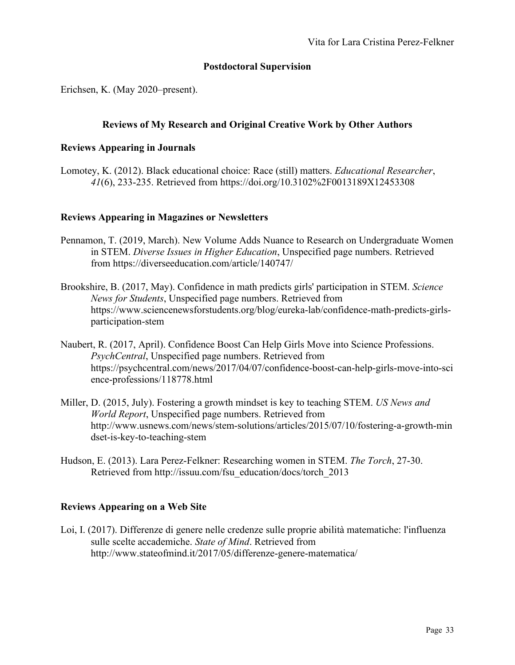# **Postdoctoral Supervision**

Erichsen, K. (May 2020–present).

### **Reviews of My Research and Original Creative Work by Other Authors**

#### **Reviews Appearing in Journals**

Lomotey, K. (2012). Black educational choice: Race (still) matters. *Educational Researcher*, *41*(6), 233-235. Retrieved from<https://doi.org/10.3102%2F0013189X12453308>

#### **Reviews Appearing in Magazines or Newsletters**

- Pennamon, T. (2019, March). New Volume Adds Nuance to Research on Undergraduate Women in STEM. *Diverse Issues in Higher Education*, Unspecified page numbers. Retrieved from<https://diverseeducation.com/article/140747/>
- Brookshire, B. (2017, May). Confidence in math predicts girls' participation in STEM. *Science News for Students*, Unspecified page numbers. Retrieved from [https://www.sciencenewsforstudents.org/blog/eureka-lab/confidence-math-predicts-girls](https://www.sciencenewsforstudents.org/blog/eureka-lab/confidence-math-predicts-girls-participation-stem)[participation-stem](https://www.sciencenewsforstudents.org/blog/eureka-lab/confidence-math-predicts-girls-participation-stem)
- Naubert, R. (2017, April). Confidence Boost Can Help Girls Move into Science Professions. *PsychCentral*, Unspecified page numbers. Retrieved from [https://psychcentral.com/news/2017/04/07/confidence-boost-can-help-girls-move-into-sci](https://psychcentral.com/news/2017/04/07/confidence-boost-can-help-girls-move-into-science-professions/118778.html) [ence-professions/118778.html](https://psychcentral.com/news/2017/04/07/confidence-boost-can-help-girls-move-into-science-professions/118778.html)
- Miller, D. (2015, July). Fostering a growth mindset is key to teaching STEM. *US News and World Report*, Unspecified page numbers. Retrieved from [http://www.usnews.com/news/stem-solutions/articles/2015/07/10/fostering-a-growth-min](http://www.usnews.com/news/stem-solutions/articles/2015/07/10/fostering-a-growth-mindset-is-key-to-teaching-stem) [dset-is-key-to-teaching-stem](http://www.usnews.com/news/stem-solutions/articles/2015/07/10/fostering-a-growth-mindset-is-key-to-teaching-stem)
- Hudson, E. (2013). Lara Perez-Felkner: Researching women in STEM. *The Torch*, 27-30. Retrieved from [http://issuu.com/fsu\\_education/docs/torch\\_2013](http://issuu.com/fsu_education/docs/torch_2013)

#### **Reviews Appearing on a Web Site**

Loi, I. (2017). Differenze di genere nelle credenze sulle proprie abilità matematiche: l'influenza sulle scelte accademiche. *State of Mind*. Retrieved from <http://www.stateofmind.it/2017/05/differenze-genere-matematica/>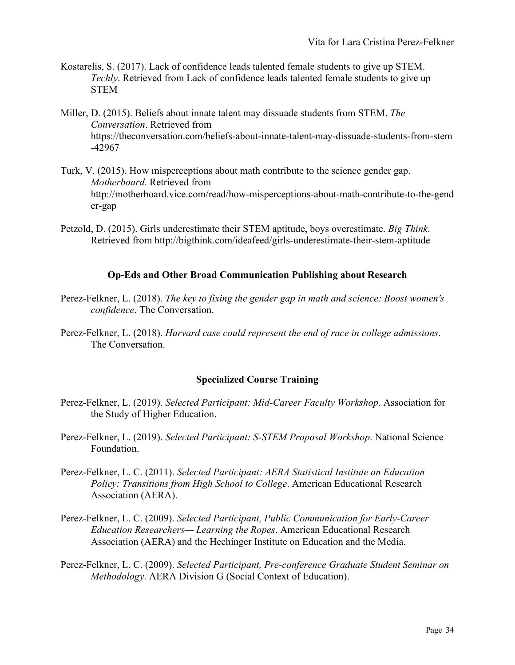- Kostarelis, S. (2017). Lack of confidence leads talented female students to give up STEM. *Techly*. Retrieved from Lack of confidence leads talented female students to give up STEM
- Miller, D. (2015). Beliefs about innate talent may dissuade students from STEM. *The Conversation*. Retrieved from [https://theconversation.com/beliefs-about-innate-talent-may-dissuade-students-from-stem](https://theconversation.com/beliefs-about-innate-talent-may-dissuade-students-from-stem-42967) [-42967](https://theconversation.com/beliefs-about-innate-talent-may-dissuade-students-from-stem-42967)
- Turk, V. (2015). How misperceptions about math contribute to the science gender gap. *Motherboard*. Retrieved from [http://motherboard.vice.com/read/how-misperceptions-about-math-contribute-to-the-gend](http://motherboard.vice.com/read/how-misperceptions-about-math-contribute-to-the-gender-gap) [er-gap](http://motherboard.vice.com/read/how-misperceptions-about-math-contribute-to-the-gender-gap)
- Petzold, D. (2015). Girls underestimate their STEM aptitude, boys overestimate. *Big Think*. Retrieved from<http://bigthink.com/ideafeed/girls-underestimate-their-stem-aptitude>

# **Op-Eds and Other Broad Communication Publishing about Research**

- Perez-Felkner, L. (2018). *The key to fixing the gender gap in math and science: Boost women's confidence*. The Conversation.
- Perez-Felkner, L. (2018). *Harvard case could represent the end of race in college admissions*. The Conversation.

# **Specialized Course Training**

- Perez-Felkner, L. (2019). *Selected Participant: Mid-Career Faculty Workshop*. Association for the Study of Higher Education.
- Perez-Felkner, L. (2019). *Selected Participant: S-STEM Proposal Workshop*. National Science Foundation.
- Perez-Felkner, L. C. (2011). *Selected Participant: AERA Statistical Institute on Education Policy: Transitions from High School to College*. American Educational Research Association (AERA).
- Perez-Felkner, L. C. (2009). *Selected Participant, Public Communication for Early-Career Education Researchers— Learning the Ropes*. American Educational Research Association (AERA) and the Hechinger Institute on Education and the Media.
- Perez-Felkner, L. C. (2009). *Selected Participant, Pre-conference Graduate Student Seminar on Methodology*. AERA Division G (Social Context of Education).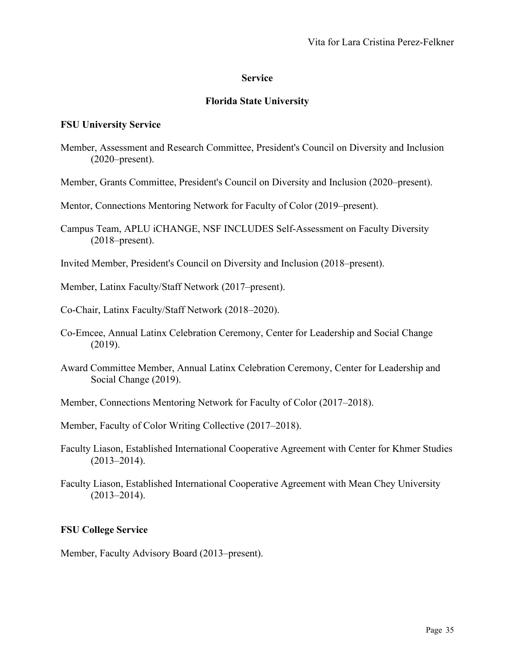#### **Service**

### **Florida State University**

#### **FSU University Service**

- Member, Assessment and Research Committee, President's Council on Diversity and Inclusion (2020–present).
- Member, Grants Committee, President's Council on Diversity and Inclusion (2020–present).
- Mentor, Connections Mentoring Network for Faculty of Color (2019–present).
- Campus Team, APLU iCHANGE, NSF INCLUDES Self-Assessment on Faculty Diversity (2018–present).
- Invited Member, President's Council on Diversity and Inclusion (2018–present).
- Member, Latinx Faculty/Staff Network (2017–present).
- Co-Chair, Latinx Faculty/Staff Network (2018–2020).
- Co-Emcee, Annual Latinx Celebration Ceremony, Center for Leadership and Social Change (2019).
- Award Committee Member, Annual Latinx Celebration Ceremony, Center for Leadership and Social Change (2019).
- Member, Connections Mentoring Network for Faculty of Color (2017–2018).
- Member, Faculty of Color Writing Collective (2017–2018).
- Faculty Liason, Established International Cooperative Agreement with Center for Khmer Studies (2013–2014).
- Faculty Liason, Established International Cooperative Agreement with Mean Chey University  $(2013 - 2014)$ .

#### **FSU College Service**

Member, Faculty Advisory Board (2013–present).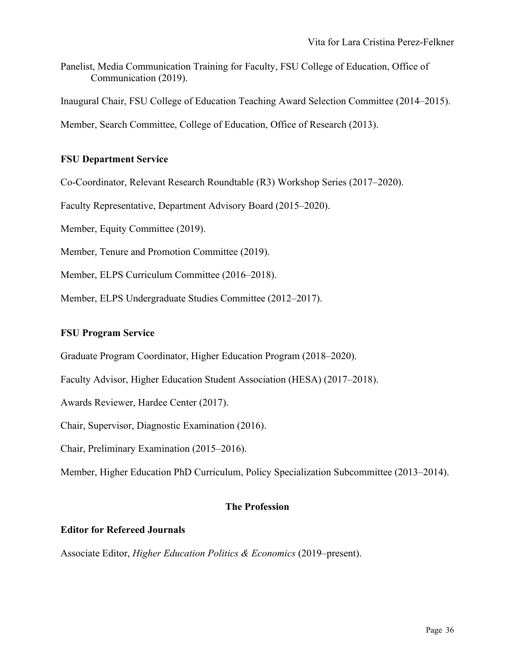Panelist, Media Communication Training for Faculty, FSU College of Education, Office of Communication (2019).

Inaugural Chair, FSU College of Education Teaching Award Selection Committee (2014–2015).

Member, Search Committee, College of Education, Office of Research (2013).

# **FSU Department Service**

Co-Coordinator, Relevant Research Roundtable (R3) Workshop Series (2017–2020).

Faculty Representative, Department Advisory Board (2015–2020).

Member, Equity Committee (2019).

Member, Tenure and Promotion Committee (2019).

Member, ELPS Curriculum Committee (2016–2018).

Member, ELPS Undergraduate Studies Committee (2012–2017).

### **FSU Program Service**

Graduate Program Coordinator, Higher Education Program (2018–2020).

Faculty Advisor, Higher Education Student Association (HESA) (2017–2018).

Awards Reviewer, Hardee Center (2017).

Chair, Supervisor, Diagnostic Examination (2016).

Chair, Preliminary Examination (2015–2016).

Member, Higher Education PhD Curriculum, Policy Specialization Subcommittee (2013–2014).

#### **The Profession**

#### **Editor for Refereed Journals**

Associate Editor, *Higher Education Politics & Economics* (2019–present).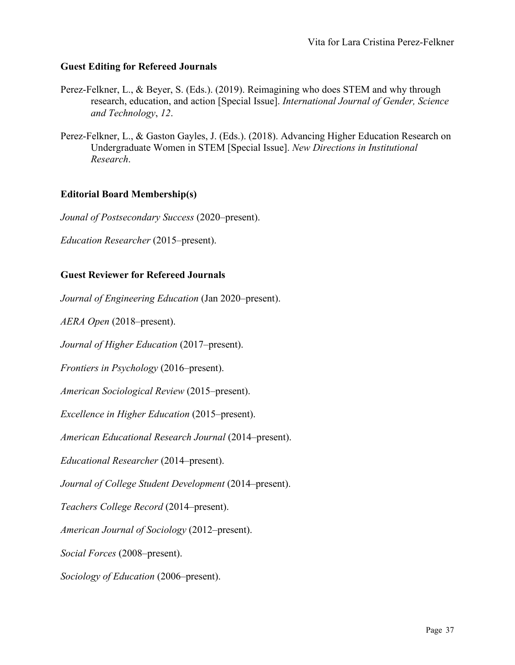### **Guest Editing for Refereed Journals**

- Perez-Felkner, L., & Beyer, S. (Eds.). (2019). Reimagining who does STEM and why through research, education, and action [Special Issue]. *International Journal of Gender, Science and Technology*, *12*.
- Perez-Felkner, L., & Gaston Gayles, J. (Eds.). (2018). Advancing Higher Education Research on Undergraduate Women in STEM [Special Issue]. *New Directions in Institutional Research*.

### **Editorial Board Membership(s)**

*Jounal of Postsecondary Success* (2020–present).

*Education Researcher* (2015–present).

#### **Guest Reviewer for Refereed Journals**

*Journal of Engineering Education* (Jan 2020–present).

*AERA Open* (2018–present).

*Journal of Higher Education* (2017–present).

*Frontiers in Psychology* (2016–present).

*American Sociological Review* (2015–present).

*Excellence in Higher Education* (2015–present).

*American Educational Research Journal* (2014–present).

*Educational Researcher* (2014–present).

*Journal of College Student Development* (2014–present).

*Teachers College Record* (2014–present).

*American Journal of Sociology* (2012–present).

*Social Forces* (2008–present).

*Sociology of Education* (2006–present).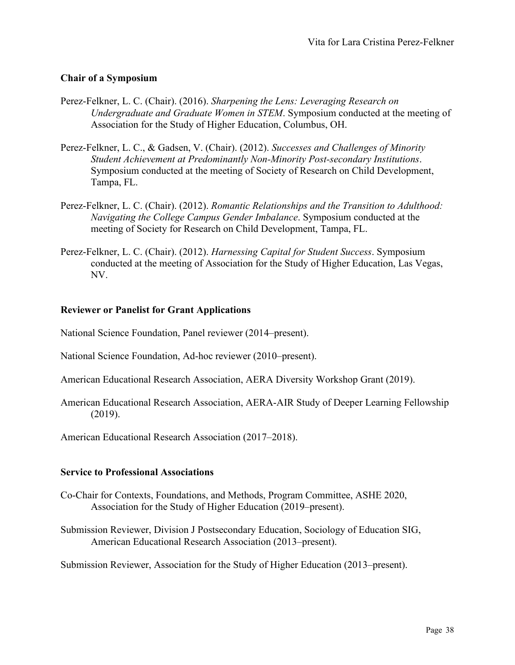#### **Chair of a Symposium**

- Perez-Felkner, L. C. (Chair). (2016). *Sharpening the Lens: Leveraging Research on Undergraduate and Graduate Women in STEM*. Symposium conducted at the meeting of Association for the Study of Higher Education, Columbus, OH.
- Perez-Felkner, L. C., & Gadsen, V. (Chair). (2012). *Successes and Challenges of Minority Student Achievement at Predominantly Non-Minority Post-secondary Institutions*. Symposium conducted at the meeting of Society of Research on Child Development, Tampa, FL.
- Perez-Felkner, L. C. (Chair). (2012). *Romantic Relationships and the Transition to Adulthood: Navigating the College Campus Gender Imbalance*. Symposium conducted at the meeting of Society for Research on Child Development, Tampa, FL.
- Perez-Felkner, L. C. (Chair). (2012). *Harnessing Capital for Student Success*. Symposium conducted at the meeting of Association for the Study of Higher Education, Las Vegas, NV.

#### **Reviewer or Panelist for Grant Applications**

National Science Foundation, Panel reviewer (2014–present).

National Science Foundation, Ad-hoc reviewer (2010–present).

- American Educational Research Association, AERA Diversity Workshop Grant (2019).
- American Educational Research Association, AERA-AIR Study of Deeper Learning Fellowship (2019).

American Educational Research Association (2017–2018).

#### **Service to Professional Associations**

- Co-Chair for Contexts, Foundations, and Methods, Program Committee, ASHE 2020, Association for the Study of Higher Education (2019–present).
- Submission Reviewer, Division J Postsecondary Education, Sociology of Education SIG, American Educational Research Association (2013–present).

Submission Reviewer, Association for the Study of Higher Education (2013–present).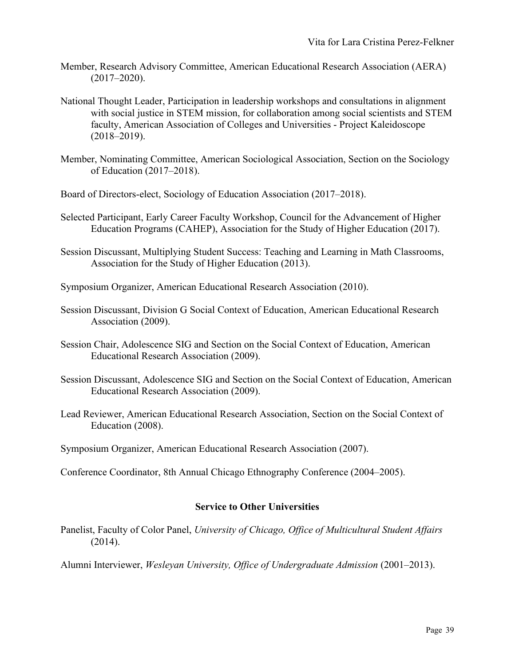- Member, Research Advisory Committee, American Educational Research Association (AERA) (2017–2020).
- National Thought Leader, Participation in leadership workshops and consultations in alignment with social justice in STEM mission, for collaboration among social scientists and STEM faculty, American Association of Colleges and Universities - Project Kaleidoscope (2018–2019).
- Member, Nominating Committee, American Sociological Association, Section on the Sociology of Education (2017–2018).
- Board of Directors-elect, Sociology of Education Association (2017–2018).
- Selected Participant, Early Career Faculty Workshop, Council for the Advancement of Higher Education Programs (CAHEP), Association for the Study of Higher Education (2017).
- Session Discussant, Multiplying Student Success: Teaching and Learning in Math Classrooms, Association for the Study of Higher Education (2013).
- Symposium Organizer, American Educational Research Association (2010).
- Session Discussant, Division G Social Context of Education, American Educational Research Association (2009).
- Session Chair, Adolescence SIG and Section on the Social Context of Education, American Educational Research Association (2009).
- Session Discussant, Adolescence SIG and Section on the Social Context of Education, American Educational Research Association (2009).
- Lead Reviewer, American Educational Research Association, Section on the Social Context of Education (2008).
- Symposium Organizer, American Educational Research Association (2007).

Conference Coordinator, 8th Annual Chicago Ethnography Conference (2004–2005).

#### **Service to Other Universities**

Panelist, Faculty of Color Panel, *University of Chicago, Office of Multicultural Student Affairs* (2014).

Alumni Interviewer, *Wesleyan University, Office of Undergraduate Admission* (2001–2013).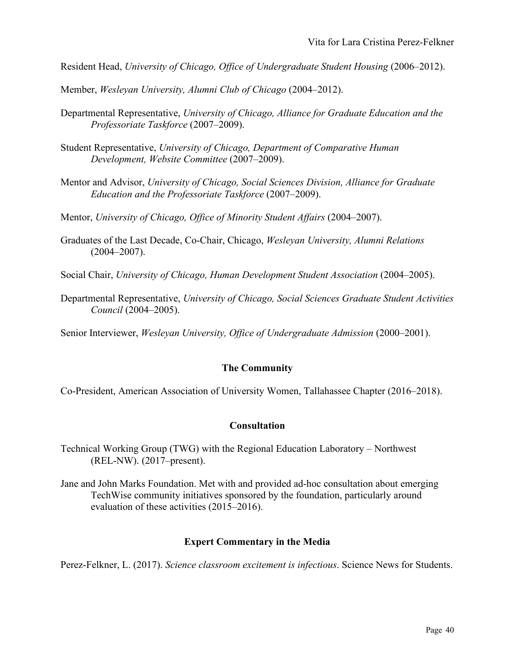Resident Head, *University of Chicago, Office of Undergraduate Student Housing* (2006–2012).

Member, *Wesleyan University, Alumni Club of Chicago* (2004–2012).

- Departmental Representative, *University of Chicago, Alliance for Graduate Education and the Professoriate Taskforce* (2007–2009).
- Student Representative, *University of Chicago, Department of Comparative Human Development, Website Committee* (2007–2009).
- Mentor and Advisor, *University of Chicago, Social Sciences Division, Alliance for Graduate Education and the Professoriate Taskforce* (2007–2009).

Mentor, *University of Chicago, Office of Minority Student Affairs* (2004–2007).

Graduates of the Last Decade, Co-Chair, Chicago, *Wesleyan University, Alumni Relations*  $(2004 - 2007)$ .

Social Chair, *University of Chicago, Human Development Student Association* (2004–2005).

Departmental Representative, *University of Chicago, Social Sciences Graduate Student Activities Council* (2004–2005).

Senior Interviewer, *Wesleyan University, Office of Undergraduate Admission* (2000–2001).

# **The Community**

Co-President, American Association of University Women, Tallahassee Chapter (2016–2018).

#### **Consultation**

Technical Working Group (TWG) with the Regional Education Laboratory – Northwest (REL-NW). (2017–present).

Jane and John Marks Foundation. Met with and provided ad-hoc consultation about emerging TechWise community initiatives sponsored by the foundation, particularly around evaluation of these activities (2015–2016).

#### **Expert Commentary in the Media**

Perez-Felkner, L. (2017). *Science classroom excitement is infectious*. Science News for Students.